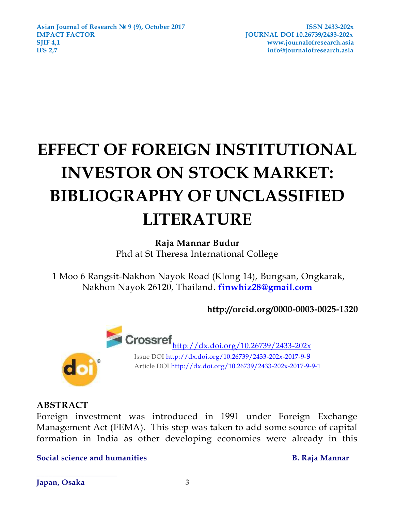# **EFFECT OF FOREIGN INSTITUTIONAL INVESTOR ON STOCK MARKET: BIBLIOGRAPHY OF UNCLASSIFIED LITERATURE**

# **Raja Mannar Budur**

Phd at St Theresa International College

1 Moo 6 Rangsit-Nakhon Nayok Road (Klong 14), Bungsan, Ongkarak, Nakhon Nayok 26120, Thailand. **[finwhiz28@gmail.com](mailto:finwhiz28@gmail.com)**

**http://orcid.org/0000-0003-0025-1320**



 $\text{Crossref}_{\frac{\text{http://dx.doi.org/10.26739/2433-202x}}{\text{http://dx.doi.org/10.26739/2433-202x}}}$  $\text{Crossref}_{\frac{\text{http://dx.doi.org/10.26739/2433-202x}}{\text{http://dx.doi.org/10.26739/2433-202x}}}$  $\text{Crossref}_{\frac{\text{http://dx.doi.org/10.26739/2433-202x}}{\text{http://dx.doi.org/10.26739/2433-202x}}}$ Issue DOI<http://dx.doi.org/10.26739/2433-202x-2017-9->9 Article DOI<http://dx.doi.org/10.26739/2433-202x-2017-9-9-1>

# **ABSTRACT**

Foreign investment was introduced in 1991 under Foreign Exchange Management Act (FEMA). This step was taken to add some source of capital formation in India as other developing economies were already in this

**Social science and humanities B. Raja Mannar**

**Japan, Osaka 3**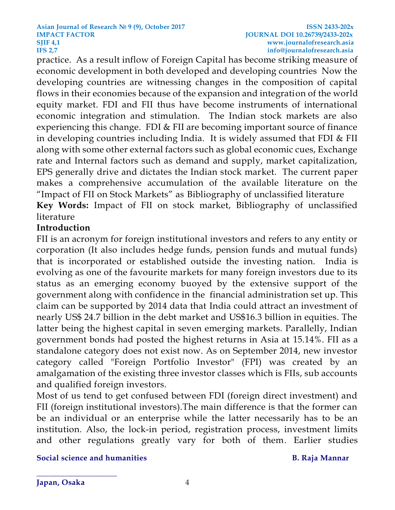practice. As a result inflow of Foreign Capital has become striking measure of economic development in both developed and developing countries Now the developing countries are witnessing changes in the composition of capital flows in their economies because of the expansion and integration of the world equity market. FDI and FII thus have become instruments of international economic integration and stimulation. The Indian stock markets are also experiencing this change. FDI & FII are becoming important source of finance in developing countries including India. It is widely assumed that FDI & FII along with some other external factors such as global economic cues, Exchange rate and Internal factors such as demand and supply, market capitalization, EPS generally drive and dictates the Indian stock market. The current paper makes a comprehensive accumulation of the available literature on the "Impact of FII on Stock Markets" as Bibliography of unclassified literature **Key Words:** Impact of FII on stock market, Bibliography of unclassified

# **Introduction**

literature

FII is an acronym for foreign institutional investors and refers to any entity or corporation (It also includes hedge funds, pension funds and mutual funds) that is incorporated or established outside the investing nation. India is evolving as one of the favourite markets for many foreign investors due to its status as an emerging economy buoyed by the extensive support of the government along with confidence in the financial administration set up. This claim can be supported by 2014 data that India could attract an investment of nearly US\$ 24.7 billion in the debt market and US\$16.3 billion in equities. The latter being the highest capital in seven emerging markets. Parallelly, Indian government bonds had posted the highest returns in Asia at 15.14%. FII as a standalone category does not exist now. As on September 2014, new investor category called "Foreign Portfolio Investor" (FPI) was created by an amalgamation of the existing three investor classes which is FIIs, sub accounts and qualified foreign investors.

Most of us tend to get confused between FDI (foreign direct investment) and FII (foreign institutional investors).The main difference is that the former can be an individual or an enterprise while the latter necessarily has to be an institution. Also, the lock-in period, registration process, investment limits and other regulations greatly vary for both of them. Earlier studies

### **Social science and humanities B. Raja Mannar**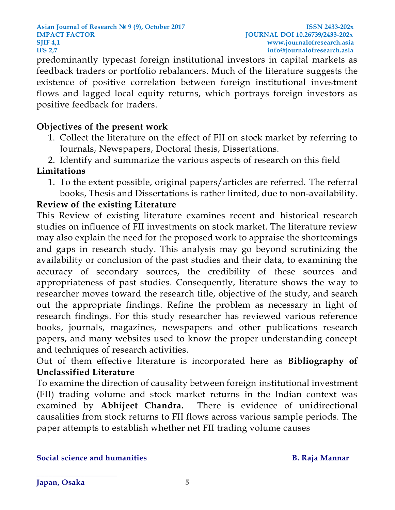**Asian Journal of Research № 9 (9), October 2017 ISSN 2433-202x IMPACT FACTOR JOURNAL DOI 10.26739/2433-202x SJIF [4,1](http://4,/) www.journalofresearch.asia IFS 2,7 info@journalofresearch.asia**

predominantly typecast foreign institutional investors in capital markets as feedback traders or portfolio rebalancers. Much of the literature suggests the existence of positive correlation between foreign institutional investment flows and lagged local equity returns, which portrays foreign investors as positive feedback for traders.

# **Objectives of the present work**

- 1. Collect the literature on the effect of FII on stock market by referring to Journals, Newspapers, Doctoral thesis, Dissertations.
- 2. Identify and summarize the various aspects of research on this field

# **Limitations**

1. To the extent possible, original papers/articles are referred. The referral books, Thesis and Dissertations is rather limited, due to non-availability.

# **Review of the existing Literature**

This Review of existing literature examines recent and historical research studies on influence of FII investments on stock market. The literature review may also explain the need for the proposed work to appraise the shortcomings and gaps in research study. This analysis may go beyond scrutinizing the availability or conclusion of the past studies and their data, to examining the accuracy of secondary sources, the credibility of these sources and appropriateness of past studies. Consequently, literature shows the way to researcher moves toward the research title, objective of the study, and search out the appropriate findings. Refine the problem as necessary in light of research findings. For this study researcher has reviewed various reference books, journals, magazines, newspapers and other publications research papers, and many websites used to know the proper understanding concept and techniques of research activities.

Out of them effective literature is incorporated here as **Bibliography of Unclassified Literature**

To examine the direction of causality between foreign institutional investment (FII) trading volume and stock market returns in the Indian context was examined by **Abhijeet Chandra.** There is evidence of unidirectional causalities from stock returns to FII flows across various sample periods. The paper attempts to establish whether net FII trading volume causes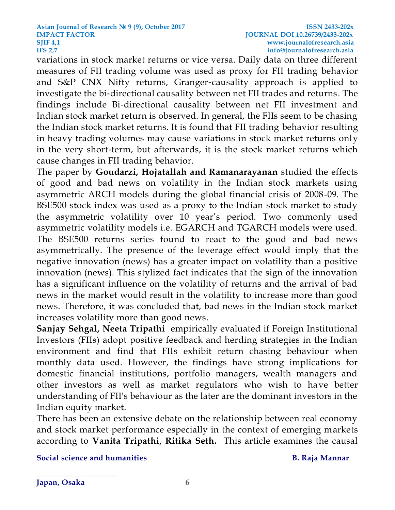variations in stock market returns or vice versa. Daily data on three different measures of FII trading volume was used as proxy for FII trading behavior and S&P CNX Nifty returns, Granger‐causality approach is applied to investigate the bi-directional causality between net FII trades and returns. The findings include Bi‐directional causality between net FII investment and Indian stock market return is observed. In general, the FIIs seem to be chasing the Indian stock market returns. It is found that FII trading behavior resulting in heavy trading volumes may cause variations in stock market returns only in the very short-term, but afterwards, it is the stock market returns which cause changes in FII trading behavior.

The paper by **Goudarzi, Hojatallah and Ramanarayanan** studied the effects of good and bad news on volatility in the Indian stock markets using asymmetric ARCH models during the global financial crisis of 2008-09. The BSE500 stock index was used as a proxy to the Indian stock market to study the asymmetric volatility over 10 year's period. Two commonly used asymmetric volatility models i.e. EGARCH and TGARCH models were used. The BSE500 returns series found to react to the good and bad news asymmetrically. The presence of the leverage effect would imply that the negative innovation (news) has a greater impact on volatility than a positive innovation (news). This stylized fact indicates that the sign of the innovation has a significant influence on the volatility of returns and the arrival of bad news in the market would result in the volatility to increase more than good news. Therefore, it was concluded that, bad news in the Indian stock market increases volatility more than good news.

**[Sanjay Sehgal,](http://journals.sagepub.com/author/Sehgal%2C+Sanjay) [Neeta Tripathi](http://journals.sagepub.com/author/Tripathi%2C+Neeta)** empirically evaluated if Foreign Institutional Investors (FIIs) adopt positive feedback and herding strategies in the Indian environment and find that FIIs exhibit return chasing behaviour when monthly data used. However, the findings have strong implications for domestic financial institutions, portfolio managers, wealth managers and other investors as well as market regulators who wish to have better understanding of FII's behaviour as the later are the dominant investors in the Indian equity market.

There has been an extensive debate on the relationship between real economy and stock market performance especially in the context of emerging markets according to **[Vanita Tripathi,](http://journals.sagepub.com/author/Tripathi%2C+Vanita) [Ritika Seth.](http://journals.sagepub.com/author/Seth%2C+Ritika)** This article examines the causal

**Social science and humanities B. Raja Mannar**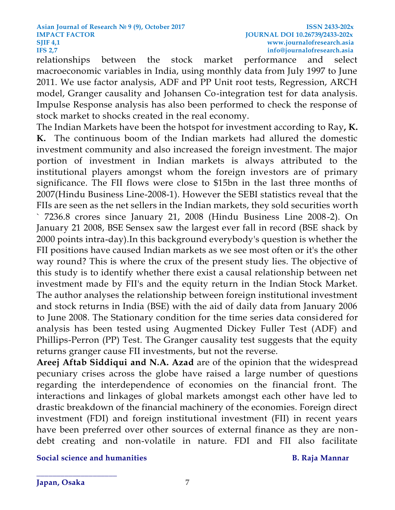relationships between the stock market performance and select macroeconomic variables in India, using monthly data from July 1997 to June 2011. We use factor analysis, ADF and PP Unit root tests, Regression, ARCH model, Granger causality and Johansen Co-integration test for data analysis. Impulse Response analysis has also been performed to check the response of stock market to shocks created in the real economy.

The Indian Markets have been the hotspot for investment according to Ray**, K. K.** The continuous boom of the Indian markets had allured the domestic investment community and also increased the foreign investment. The major portion of investment in Indian markets is always attributed to the institutional players amongst whom the foreign investors are of primary significance. The FII flows were close to \$15bn in the last three months of 2007(Hindu Business Line-2008-1). However the SEBI statistics reveal that the FIIs are seen as the net sellers in the Indian markets, they sold securities worth ` 7236.8 crores since January 21, 2008 (Hindu Business Line 2008-2). On January 21 2008, BSE Sensex saw the largest ever fall in record (BSE shack by 2000 points intra-day).In this background everybody's question is whether the FII positions have caused Indian markets as we see most often or it's the other way round? This is where the crux of the present study lies. The objective of this study is to identify whether there exist a causal relationship between net investment made by FII's and the equity return in the Indian Stock Market. The author analyses the relationship between foreign institutional investment and stock returns in India (BSE) with the aid of daily data from January 2006 to June 2008. The Stationary condition for the time series data considered for analysis has been tested using Augmented Dickey Fuller Test (ADF) and Phillips-Perron (PP) Test. The Granger causality test suggests that the equity returns granger cause FII investments, but not the reverse.

**[Areej Aftab Siddiqui](http://journals.sagepub.com/author/Siddiqui%2C+Areej+Aftab) and [N.A. Azad](http://journals.sagepub.com/author/Azad%2C+NA)** are of the opinion that the widespread pecuniary crises across the globe have raised a large number of questions regarding the interdependence of economies on the financial front. The interactions and linkages of global markets amongst each other have led to drastic breakdown of the financial machinery of the economies. Foreign direct investment (FDI) and foreign institutional investment (FII) in recent years have been preferred over other sources of external finance as they are nondebt creating and non-volatile in nature. FDI and FII also facilitate

**Social science and humanities B. Raja Mannar**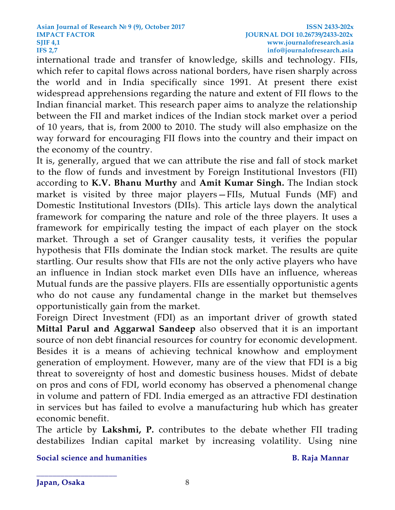international trade and transfer of knowledge, skills and technology. FIIs, which refer to capital flows across national borders, have risen sharply across the world and in India specifically since 1991. At present there exist widespread apprehensions regarding the nature and extent of FII flows to the Indian financial market. This research paper aims to analyze the relationship between the FII and market indices of the Indian stock market over a period of 10 years, that is, from 2000 to 2010. The study will also emphasize on the way forward for encouraging FII flows into the country and their impact on the economy of the country.

It is, generally, argued that we can attribute the rise and fall of stock market to the flow of funds and investment by Foreign Institutional Investors (FII) according to **[K.V. Bhanu Murthy](http://journals.sagepub.com/author/Murthy%2C+KV+Bhanu)** and **[Amit Kumar Singh.](http://journals.sagepub.com/author/Singh%2C+Amit+Kumar)** The Indian stock market is visited by three major players—FIIs, Mutual Funds (MF) and Domestic Institutional Investors (DIIs). This article lays down the analytical framework for comparing the nature and role of the three players. It uses a framework for empirically testing the impact of each player on the stock market. Through a set of Granger causality tests, it verifies the popular hypothesis that FIIs dominate the Indian stock market. The results are quite startling. Our results show that FIIs are not the only active players who have an influence in Indian stock market even DIIs have an influence, whereas Mutual funds are the passive players. FIIs are essentially opportunistic agents who do not cause any fundamental change in the market but themselves opportunistically gain from the market.

Foreign Direct Investment (FDI) as an important driver of growth stated **Mittal Parul and Aggarwal Sandeep** also observed that it is an important source of non debt financial resources for country for economic development. Besides it is a means of achieving technical knowhow and employment generation of employment. However, many are of the view that FDI is a big threat to sovereignty of host and domestic business houses. Midst of debate on pros and cons of FDI, world economy has observed a phenomenal change in volume and pattern of FDI. India emerged as an attractive FDI destination in services but has failed to evolve a manufacturing hub which has greater economic benefit.

The article by **Lakshmi, P.** contributes to the debate whether FII trading destabilizes Indian capital market by increasing volatility. Using nine

**Social science and humanities B. Raja Mannar**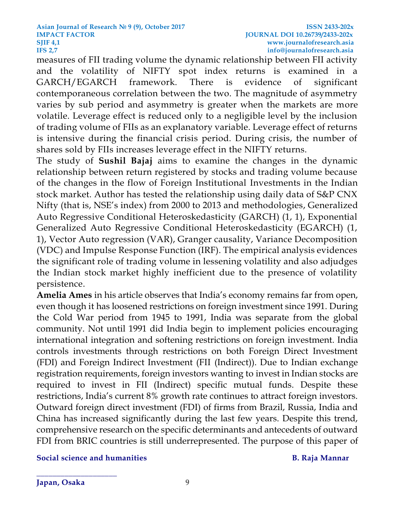measures of FII trading volume the dynamic relationship between FII activity and the volatility of NIFTY spot index returns is examined in a GARCH/EGARCH framework. There is evidence of significant contemporaneous correlation between the two. The magnitude of asymmetry varies by sub period and asymmetry is greater when the markets are more volatile. Leverage effect is reduced only to a negligible level by the inclusion of trading volume of FIIs as an explanatory variable. Leverage effect of returns is intensive during the financial crisis period. During crisis, the number of shares sold by FIIs increases leverage effect in the NIFTY returns.

The study of **Sushil Bajaj** aims to examine the changes in the dynamic relationship between return registered by stocks and trading volume because of the changes in the flow of Foreign Institutional Investments in the Indian stock market. Author has tested the relationship using daily data of S&P CNX Nifty (that is, NSE's index) from 2000 to 2013 and methodologies, Generalized Auto Regressive Conditional Heteroskedasticity (GARCH) (1, 1), Exponential Generalized Auto Regressive Conditional Heteroskedasticity (EGARCH) (1, 1), Vector Auto regression (VAR), Granger causality, Variance Decomposition (VDC) and Impulse Response Function (IRF). The empirical analysis evidences the significant role of trading volume in lessening volatility and also adjudges the Indian stock market highly inefficient due to the presence of volatility persistence.

**Amelia Ames** in his article observes that India's economy remains far from open, even though it has loosened restrictions on foreign investment since 1991. During the Cold War period from 1945 to 1991, India was separate from the global community. Not until 1991 did India begin to implement policies encouraging international integration and softening restrictions on foreign investment. India controls investments through restrictions on both Foreign Direct Investment (FDI) and Foreign Indirect Investment (FII (Indirect)). Due to Indian exchange registration requirements, foreign investors wanting to invest in Indian stocks are required to invest in FII (Indirect) specific mutual funds. Despite these restrictions, India's current 8% growth rate continues to attract foreign investors. Outward foreign direct investment (FDI) of firms from Brazil, Russia, India and China has increased significantly during the last few years. Despite this trend, comprehensive research on the specific determinants and antecedents of outward FDI from BRIC countries is still underrepresented. The purpose of this paper of

**Social science and humanities B. Raja Mannar**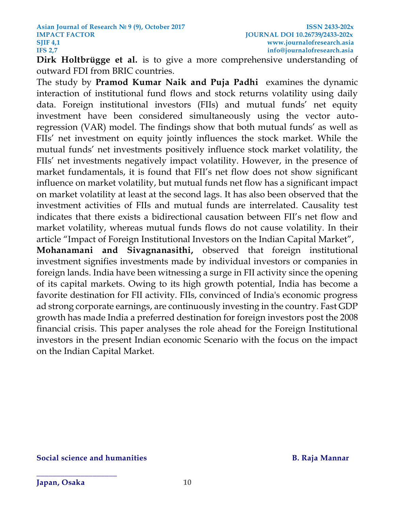**Dirk Holtbrügge et al.** is to give a more comprehensive understanding of outward FDI from BRIC countries.

The study by **[Pramod Kumar Naik](http://journals.sagepub.com/author/Naik%2C+Pramod+Kumar) and [Puja Padhi](http://journals.sagepub.com/author/Padhi%2C+Puja)** examines the dynamic interaction of institutional fund flows and stock returns volatility using daily data. Foreign institutional investors (FIIs) and mutual funds' net equity investment have been considered simultaneously using the vector autoregression (VAR) model. The findings show that both mutual funds' as well as FIIs' net investment on equity jointly influences the stock market. While the mutual funds' net investments positively influence stock market volatility, the FIIs' net investments negatively impact volatility. However, in the presence of market fundamentals, it is found that FII's net flow does not show significant influence on market volatility, but mutual funds net flow has a significant impact on market volatility at least at the second lags. It has also been observed that the investment activities of FIIs and mutual funds are interrelated. Causality test indicates that there exists a bidirectional causation between FII's net flow and market volatility, whereas mutual funds flows do not cause volatility. In their article "Impact of Foreign Institutional Investors on the Indian Capital Market",

**Mohanamani and Sivagnanasithi,** observed that foreign institutional investment signifies investments made by individual investors or companies in foreign lands. India have been witnessing a surge in FII activity since the opening of its capital markets. Owing to its high growth potential, India has become a favorite destination for FII activity. FIIs, convinced of India's economic progress ad strong corporate earnings, are continuously investing in the country. Fast GDP growth has made India a preferred destination for foreign investors post the 2008 financial crisis. This paper analyses the role ahead for the Foreign Institutional investors in the present Indian economic Scenario with the focus on the impact on the Indian Capital Market.

### **Social science and humanities B. Raja Mannar**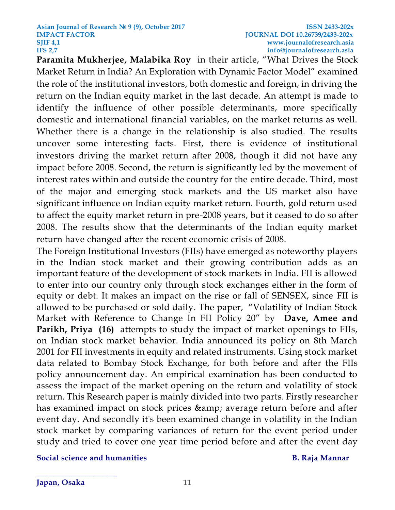**[Paramita Mukherjee,](http://journals.sagepub.com/author/Mukherjee%2C+Paramita) [Malabika Roy](http://journals.sagepub.com/author/Roy%2C+Malabika)** in their article, "What Drives the Stock Market Return in India? An Exploration with Dynamic Factor Model" examined the role of the institutional investors, both domestic and foreign, in driving the return on the Indian equity market in the last decade. An attempt is made to identify the influence of other possible determinants, more specifically domestic and international financial variables, on the market returns as well. Whether there is a change in the relationship is also studied. The results uncover some interesting facts. First, there is evidence of institutional investors driving the market return after 2008, though it did not have any impact before 2008. Second, the return is significantly led by the movement of interest rates within and outside the country for the entire decade. Third, most of the major and emerging stock markets and the US market also have significant influence on Indian equity market return. Fourth, gold return used to affect the equity market return in pre-2008 years, but it ceased to do so after 2008. The results show that the determinants of the Indian equity market return have changed after the recent economic crisis of 2008.

The Foreign Institutional Investors (FIIs) have emerged as noteworthy players in the Indian stock market and their growing contribution adds as an important feature of the development of stock markets in India. FII is allowed to enter into our country only through stock exchanges either in the form of equity or debt. It makes an impact on the rise or fall of SENSEX, since FII is allowed to be purchased or sold daily. The paper, "Volatility of Indian Stock Market with Reference to Change In FII Policy 20" by **Dave, Amee and Parikh, Priya (16)** attempts to study the impact of market openings to FIIs, on Indian stock market behavior. India announced its policy on 8th March 2001 for FII investments in equity and related instruments. Using stock market data related to Bombay Stock Exchange, for both before and after the FIIs policy announcement day. An empirical examination has been conducted to assess the impact of the market opening on the return and volatility of stock return. This Research paper is mainly divided into two parts. Firstly researcher has examined impact on stock prices & amp; average return before and after event day. And secondly it's been examined change in volatility in the Indian stock market by comparing variances of return for the event period under study and tried to cover one year time period before and after the event day

**Social science and humanities B. Raja Mannar**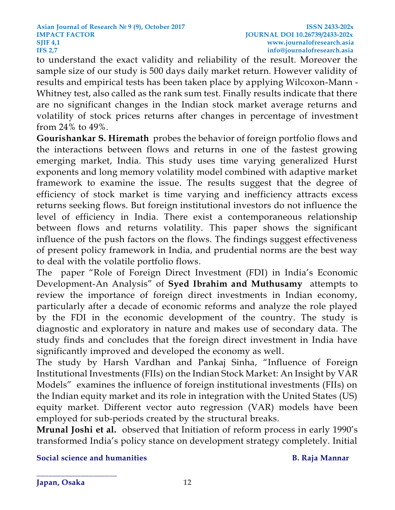to understand the exact validity and reliability of the result. Moreover the sample size of our study is 500 days daily market return. However validity of results and empirical tests has been taken place by applying Wilcoxon-Mann - Whitney test, also called as the rank sum test. Finally results indicate that there are no significant changes in the Indian stock market average returns and volatility of stock prices returns after changes in percentage of investment from 24% to 49%.

**[Gourishankar](http://www.sciencedirect.com/science/article/pii/S0275531916301064) S. Hiremath** probes the behavior of foreign portfolio flows and the interactions between flows and returns in one of the fastest growing emerging market, India. This study uses time varying generalized Hurst exponents and long memory volatility model combined with adaptive market framework to examine the issue. The results suggest that the degree of efficiency of stock market is time varying and inefficiency attracts excess returns seeking flows. But foreign institutional investors do not influence the level of efficiency in India. There exist a contemporaneous relationship between flows and returns volatility. This paper shows the significant influence of the push factors on the flows. The findings suggest effectiveness of present policy framework in India, and prudential norms are the best way to deal with the volatile portfolio flows.

The paper "Role of Foreign Direct Investment (FDI) in India's Economic Development-An Analysis" of **Syed Ibrahim and Muthusamy** attempts to review the importance of foreign direct investments in Indian economy, particularly after a decade of economic reforms and analyze the role played by the FDI in the economic development of the country. The study is diagnostic and exploratory in nature and makes use of secondary data. The study finds and concludes that the foreign direct investment in India have significantly improved and developed the economy as well.

The study by [Harsh Vardhan](http://journals.sagepub.com/author/Vardhan%2C+Harsh) and [Pankaj Sinha](http://journals.sagepub.com/author/Sinha%2C+Pankaj), "Influence of Foreign Institutional Investments (FIIs) on the Indian Stock Market: An Insight by VAR Models" examines the influence of foreign institutional investments (FIIs) on the Indian equity market and its role in integration with the United States (US) equity market. Different vector auto regression (VAR) models have been employed for sub-periods created by the structural breaks.

**[Mrunal Joshi](https://papers.ssrn.com/sol3/cf_dev/AbsByAuth.cfm?per_id=1848190) et al.** observed that Initiation of reform process in early 1990's transformed India's policy stance on development strategy completely. Initial

**Social science and humanities B. Raja Mannar**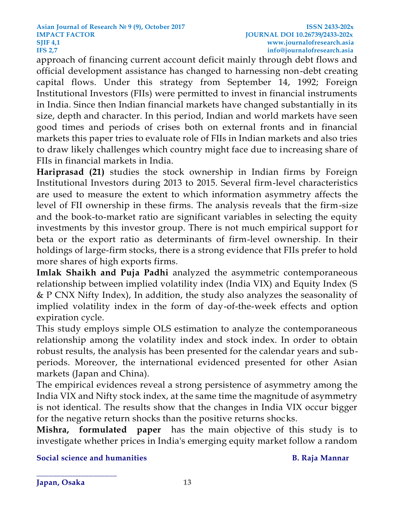approach of financing current account deficit mainly through debt flows and official development assistance has changed to harnessing non-debt creating capital flows. Under this strategy from September 14, 1992; Foreign Institutional Investors (FIIs) were permitted to invest in financial instruments in India. Since then Indian financial markets have changed substantially in its size, depth and character. In this period, Indian and world markets have seen good times and periods of crises both on external fronts and in financial markets this paper tries to evaluate role of FIIs in Indian markets and also tries to draw likely challenges which country might face due to increasing share of FIIs in financial markets in India.

**Hariprasad (21)** studies the stock ownership in Indian firms by Foreign Institutional Investors during 2013 to 2015. Several firm-level characteristics are used to measure the extent to which information asymmetry affects the level of FII ownership in these firms. The analysis reveals that the firm-size and the book-to-market ratio are significant variables in selecting the equity investments by this investor group. There is not much empirical support for beta or the export ratio as determinants of firm-level ownership. In their holdings of large-firm stocks, there is a strong evidence that FIIs prefer to hold more shares of high exports firms.

**Imlak Shaikh and [Puja Padhi](http://www.emeraldinsight.com/author/Padhi%2C+Puja)** analyzed the asymmetric contemporaneous relationship between implied volatility index (India VIX) and Equity Index (S & P CNX Nifty Index), In addition, the study also analyzes the seasonality of implied volatility index in the form of day-of-the-week effects and option expiration cycle.

This study employs simple OLS estimation to analyze the contemporaneous relationship among the volatility index and stock index. In order to obtain robust results, the analysis has been presented for the calendar years and subperiods. Moreover, the international evidenced presented for other Asian markets (Japan and China).

The empirical evidences reveal a strong persistence of asymmetry among the India VIX and Nifty stock index, at the same time the magnitude of asymmetry is not identical. The results show that the changes in India VIX occur bigger for the negative return shocks than the positive returns shocks.

**Mishra, formulated paper** has the main objective of this study is to investigate whether prices in India's emerging equity market follow a random

**Social science and humanities B. Raja Mannar**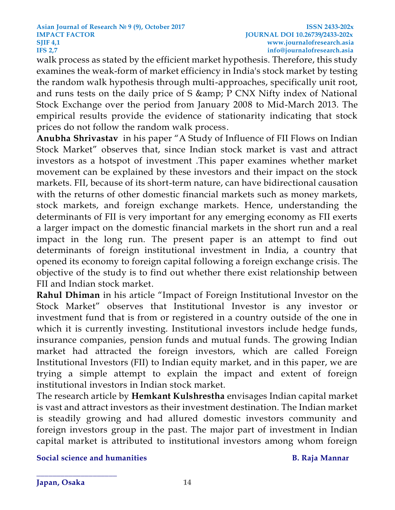walk process as stated by the efficient market hypothesis. Therefore, this study examines the weak-form of market efficiency in India's stock market by testing the random walk hypothesis through multi-approaches, specifically unit root, and runs tests on the daily price of S & amp; P CNX Nifty index of National Stock Exchange over the period from January 2008 to Mid-March 2013. The empirical results provide the evidence of stationarity indicating that stock prices do not follow the random walk process.

**Anubha Shrivastav** in his paper "A Study of Influence of FII Flows on Indian Stock Market" observes that, since Indian stock market is vast and attract investors as a hotspot of investment .This paper examines whether market movement can be explained by these investors and their impact on the stock markets. FII, because of its short-term nature, can have bidirectional causation with the returns of other domestic financial markets such as money markets, stock markets, and foreign exchange markets. Hence, understanding the determinants of FII is very important for any emerging economy as FII exerts a larger impact on the domestic financial markets in the short run and a real impact in the long run. The present paper is an attempt to find out determinants of foreign institutional investment in India, a country that opened its economy to foreign capital following a foreign exchange crisis. The objective of the study is to find out whether there exist relationship between FII and Indian stock market.

**Rahul Dhiman** in his article "Impact of Foreign Institutional Investor on the Stock Market" observes that Institutional Investor is any investor or investment fund that is from or registered in a country outside of the one in which it is currently investing. Institutional investors include hedge funds, insurance companies, pension funds and mutual funds. The growing Indian market had attracted the foreign investors, which are called Foreign Institutional Investors (FII) to Indian equity market, and in this paper, we are trying a simple attempt to explain the impact and extent of foreign institutional investors in Indian stock market.

The research article by **Hemkant Kulshrestha** envisages Indian capital market is vast and attract investors as their investment destination. The Indian market is steadily growing and had allured domestic investors community and foreign investors group in the past. The major part of investment in Indian capital market is attributed to institutional investors among whom foreign

**Social science and humanities B. Raja Mannar**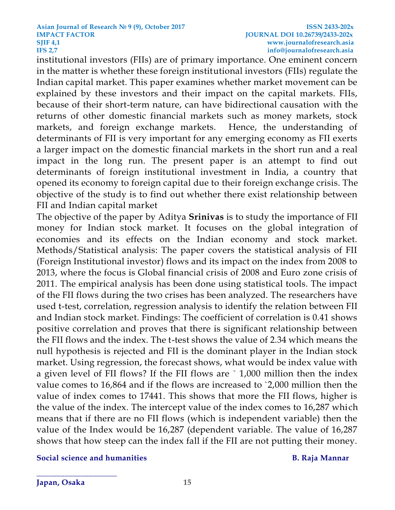institutional investors (FIIs) are of primary importance. One eminent concern in the matter is whether these foreign institutional investors (FIIs) regulate the Indian capital market. This paper examines whether market movement can be explained by these investors and their impact on the capital markets. FIIs, because of their short-term nature, can have bidirectional causation with the returns of other domestic financial markets such as money markets, stock markets, and foreign exchange markets. Hence, the understanding of determinants of FII is very important for any emerging economy as FII exerts a larger impact on the domestic financial markets in the short run and a real impact in the long run. The present paper is an attempt to find out determinants of foreign institutional investment in India, a country that opened its economy to foreign capital due to their foreign exchange crisis. The objective of the study is to find out whether there exist relationship between FII and Indian capital market

The objective of the paper by Aditya **Srinivas** is to study the importance of FII money for Indian stock market. It focuses on the global integration of economies and its effects on the Indian economy and stock market. Methods/Statistical analysis: The paper covers the statistical analysis of FII (Foreign Institutional investor) flows and its impact on the index from 2008 to 2013, where the focus is Global financial crisis of 2008 and Euro zone crisis of 2011. The empirical analysis has been done using statistical tools. The impact of the FII flows during the two crises has been analyzed. The researchers have used t-test, correlation, regression analysis to identify the relation between FII and Indian stock market. Findings: The coefficient of correlation is 0.41 shows positive correlation and proves that there is significant relationship between the FII flows and the index. The t-test shows the value of 2.34 which means the null hypothesis is rejected and FII is the dominant player in the Indian stock market. Using regression, the forecast shows, what would be index value with a given level of FII flows? If the FII flows are ` 1,000 million then the index value comes to 16,864 and if the flows are increased to `2,000 million then the value of index comes to 17441. This shows that more the FII flows, higher is the value of the index. The intercept value of the index comes to 16,287 which means that if there are no FII flows (which is independent variable) then the value of the Index would be 16,287 (dependent variable. The value of 16,287 shows that how steep can the index fall if the FII are not putting their money.

**Social science and humanities B. Raja Mannar**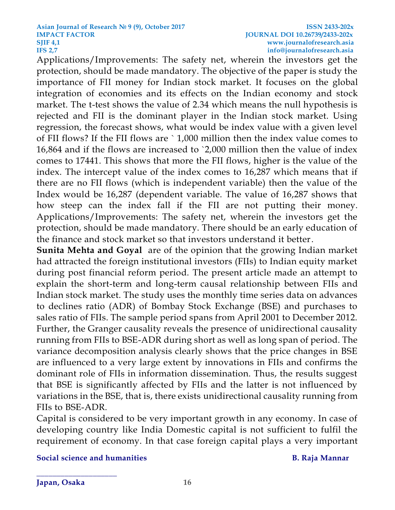Applications/Improvements: The safety net, wherein the investors get the protection, should be made mandatory. The objective of the paper is study the importance of FII money for Indian stock market. It focuses on the global integration of economies and its effects on the Indian economy and stock market. The t-test shows the value of 2.34 which means the null hypothesis is rejected and FII is the dominant player in the Indian stock market. Using regression, the forecast shows, what would be index value with a given level of FII flows? If the FII flows are ` 1,000 million then the index value comes to 16,864 and if the flows are increased to `2,000 million then the value of index comes to 17441. This shows that more the FII flows, higher is the value of the index. The intercept value of the index comes to 16,287 which means that if there are no FII flows (which is independent variable) then the value of the Index would be 16,287 (dependent variable. The value of 16,287 shows that how steep can the index fall if the FII are not putting their money. Applications/Improvements: The safety net, wherein the investors get the protection, should be made mandatory. There should be an early education of the finance and stock market so that investors understand it better.

**[Sunita Mehta](http://journals.sagepub.com/author/Mehla%2C+Sunita) and [Goyal](http://journals.sagepub.com/author/Goyal%2C+SK)** are of the opinion that the growing Indian market had attracted the foreign institutional investors (FIIs) to Indian equity market during post financial reform period. The present article made an attempt to explain the short-term and long-term causal relationship between FIIs and Indian stock market. The study uses the monthly time series data on advances to declines ratio (ADR) of Bombay Stock Exchange (BSE) and purchases to sales ratio of FIIs. The sample period spans from April 2001 to December 2012. Further, the Granger causality reveals the presence of unidirectional causality running from FIIs to BSE-ADR during short as well as long span of period. The variance decomposition analysis clearly shows that the price changes in BSE are influenced to a very large extent by innovations in FIIs and confirms the dominant role of FIIs in information dissemination. Thus, the results suggest that BSE is significantly affected by FIIs and the latter is not influenced by variations in the BSE, that is, there exists unidirectional causality running from FIIs to BSE-ADR.

Capital is considered to be very important growth in any economy. In case of developing country like India Domestic capital is not sufficient to fulfil the requirement of economy. In that case foreign capital plays a very important

**Social science and humanities B. Raja Mannar**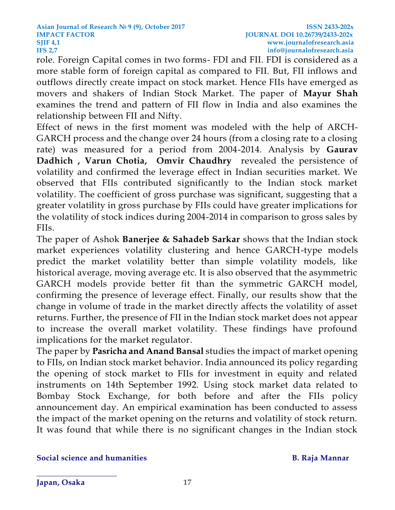role. Foreign Capital comes in two forms- FDI and FII. FDI is considered as a more stable form of foreign capital as compared to FII. But, FII inflows and outflows directly create impact on stock market. Hence FIIs have emerged as movers and shakers of Indian Stock Market. The paper of **Mayur Shah**  examines the trend and pattern of FII flow in India and also examines the relationship between FII and Nifty.

Effect of news in the first moment was modeled with the help of ARCH-GARCH process and the change over 24 hours (from a closing rate to a closing rate) was measured for a period from 2004-2014. Analysis by **[Gaurav](http://www.indianjournaloffinance.co.in/index.php/IJF/search/authors/view?firstName=Gaurav&middleName=&lastName=Dadhich&affiliation=Undergraduate%20Student,%20Department%20of%20Economics%20and%20Finance,%206165,%20New%20Academic%20Block,%20Birla%20Institute%20of%20Technology%20and%20Science,%20Pilani,%20Rajasthan&country=IN)  [Dadhich](http://www.indianjournaloffinance.co.in/index.php/IJF/search/authors/view?firstName=Gaurav&middleName=&lastName=Dadhich&affiliation=Undergraduate%20Student,%20Department%20of%20Economics%20and%20Finance,%206165,%20New%20Academic%20Block,%20Birla%20Institute%20of%20Technology%20and%20Science,%20Pilani,%20Rajasthan&country=IN) , [Varun Chotia,](http://www.indianjournaloffinance.co.in/index.php/IJF/search/authors/view?firstName=Varun&middleName=&lastName=Chotia&affiliation=Research%20Scholar,%20Department%20of%20Economics%20and%20Finance,%206165,%20New%20Academic%20Block,%20Birla%20Institute%20of%20Technology%20and%20Science,%20Pilani,%20Rajasthan&country=IN) [Omvir Chaudhry](http://www.indianjournaloffinance.co.in/index.php/IJF/search/authors/view?firstName=Omvir&middleName=&lastName=Chaudhry&affiliation=Assistant%20Professor,%20Department%20of%20Economics%20and%20Finance,%206165-%20O,%20New%20Academic%20Block,%20Birla%20Institute%20of%20Technology%20and%20Science%20Pilani,%20Rajasthan&country=IN)** revealed the persistence of volatility and confirmed the leverage effect in Indian securities market. We observed that FIIs contributed significantly to the Indian stock market volatility. The coefficient of gross purchase was significant, suggesting that a greater volatility in gross purchase by FIIs could have greater implications for the volatility of stock indices during 2004-2014 in comparison to gross sales by FIIs.

The paper of Ashok **Banerjee & Sahadeb Sarkar** shows that the Indian stock market experiences volatility clustering and hence GARCH-type models predict the market volatility better than simple volatility models, like historical average, moving average etc. It is also observed that the asymmetric GARCH models provide better fit than the symmetric GARCH model, confirming the presence of leverage effect. Finally, our results show that the change in volume of trade in the market directly affects the volatility of asset returns. Further, the presence of FII in the Indian stock market does not appear to increase the overall market volatility. These findings have profound implications for the market regulator.

The paper by **Pasricha and Anand Bansal** studies the impact of market opening to FIIs, on Indian stock market behavior. India announced its policy regarding the opening of stock market to FIIs for investment in equity and related instruments on 14th September 1992. Using stock market data related to Bombay Stock Exchange, for both before and after the FIIs policy announcement day. An empirical examination has been conducted to assess the impact of the market opening on the returns and volatility of stock return. It was found that while there is no significant changes in the Indian stock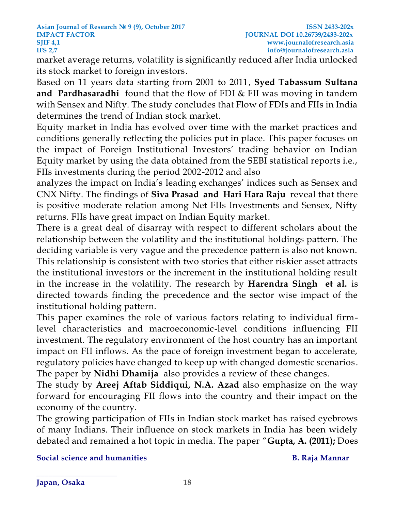market average returns, volatility is significantly reduced after India unlocked its stock market to foreign investors.

Based on 11 years data starting from 2001 to 2011, **Syed Tabassum Sultana and Pardhasaradhi** found that the flow of FDI & FII was moving in tandem with Sensex and Nifty. The study concludes that Flow of FDIs and FIIs in India determines the trend of Indian stock market.

Equity market in India has evolved over time with the market practices and conditions generally reflecting the policies put in place. This paper focuses on the impact of Foreign Institutional Investors' trading behavior on Indian Equity market by using the data obtained from the SEBI statistical reports i.e., FIIs investments during the period 2002-2012 and also

analyzes the impact on India's leading exchanges' indices such as Sensex and CNX Nifty. The findings of **Siva Prasad and Hari Hara Raju** reveal that there is positive moderate relation among Net FIIs Investments and Sensex, Nifty returns. FIIs have great impact on Indian Equity market.

There is a great deal of disarray with respect to different scholars about the relationship between the volatility and the institutional holdings pattern. The deciding variable is very vague and the precedence pattern is also not known. This relationship is consistent with two stories that either riskier asset attracts the institutional investors or the increment in the institutional holding result in the increase in the volatility. The research by **Harendra Singh et al.** is directed towards finding the precedence and the sector wise impact of the institutional holding pattern.

This paper examines the role of various factors relating to individual firmlevel characteristics and macroeconomic-level conditions influencing FII investment. The regulatory environment of the host country has an important impact on FII inflows. As the pace of foreign investment began to accelerate, regulatory policies have changed to keep up with changed domestic scenarios. The paper by **[Nidhi Dhamija](http://journals.sagepub.com/author/Dhamija%2C+Nidhi)** also provides a review of these changes.

The study by **[Areej Aftab Siddiqui,](http://journals.sagepub.com/author/Siddiqui%2C+Areej+Aftab) [N.A. Azad](http://journals.sagepub.com/author/Azad%2C+NA)** also emphasize on the way forward for encouraging FII flows into the country and their impact on the economy of the country.

The growing participation of FIIs in Indian stock market has raised eyebrows of many Indians. Their influence on stock markets in India has been widely debated and remained a hot topic in media. The paper "**Gupta, A. (2011);** Does

**Social science and humanities B. Raja Mannar**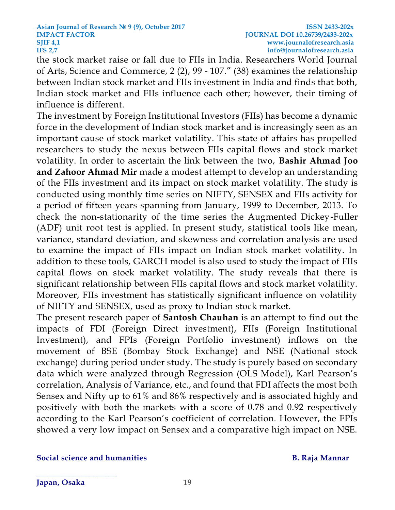### **Asian Journal of Research № 9 (9), October 2017 ISSN 2433-202x IMPACT FACTOR JOURNAL DOI 10.26739/2433-202x SJIF [4,1](http://4,/) www.journalofresearch.asia IFS 2,7 info@journalofresearch.asia**

the stock market raise or fall due to FIIs in India. Researchers World Journal of Arts, Science and Commerce, 2 (2), 99 - 107." (38) examines the relationship between Indian stock market and FIIs investment in India and finds that both, Indian stock market and FIIs influence each other; however, their timing of influence is different.

The investment by Foreign Institutional Investors (FIIs) has become a dynamic force in the development of Indian stock market and is increasingly seen as an important cause of stock market volatility. This state of affairs has propelled researchers to study the nexus between FIIs capital flows and stock market volatility. In order to ascertain the link between the two, **Bashir Ahmad Joo and Zahoor Ahmad Mir** made a modest attempt to develop an understanding of the FIIs investment and its impact on stock market volatility. The study is conducted using monthly time series on NIFTY, SENSEX and FIIs activity for a period of fifteen years spanning from January, 1999 to December, 2013. To check the non-stationarity of the time series the Augmented Dickey-Fuller (ADF) unit root test is applied. In present study, statistical tools like mean, variance, standard deviation, and skewness and correlation analysis are used to examine the impact of FIIs impact on Indian stock market volatility. In addition to these tools, GARCH model is also used to study the impact of FIIs capital flows on stock market volatility. The study reveals that there is significant relationship between FIIs capital flows and stock market volatility. Moreover, FIIs investment has statistically significant influence on volatility of NIFTY and SENSEX, used as proxy to Indian stock market.

The present research paper of **Santosh Chauhan** is an attempt to find out the impacts of FDI (Foreign Direct investment), FIIs (Foreign Institutional Investment), and FPIs (Foreign Portfolio investment) inflows on the movement of BSE (Bombay Stock Exchange) and NSE (National stock exchange) during period under study. The study is purely based on secondary data which were analyzed through Regression (OLS Model), Karl Pearson's correlation, Analysis of Variance, etc., and found that FDI affects the most both Sensex and Nifty up to 61% and 86% respectively and is associated highly and positively with both the markets with a score of 0.78 and 0.92 respectively according to the Karl Pearson's coefficient of correlation. However, the FPIs showed a very low impact on Sensex and a comparative high impact on NSE.

### **Social science and humanities B. Raja Mannar**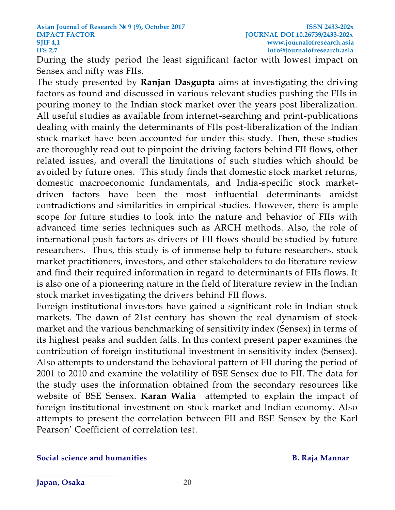During the study period the least significant factor with lowest impact on Sensex and nifty was FIIs.

The study presented by **Ranjan Dasgupta** aims at investigating the driving factors as found and discussed in various relevant studies pushing the FIIs in pouring money to the Indian stock market over the years post liberalization. All useful studies as available from internet-searching and print-publications dealing with mainly the determinants of FIIs post-liberalization of the Indian stock market have been accounted for under this study. Then, these studies are thoroughly read out to pinpoint the driving factors behind FII flows, other related issues, and overall the limitations of such studies which should be avoided by future ones. This study finds that domestic stock market returns, domestic macroeconomic fundamentals, and India-specific stock marketdriven factors have been the most influential determinants amidst contradictions and similarities in empirical studies. However, there is ample scope for future studies to look into the nature and behavior of FIIs with advanced time series techniques such as ARCH methods. Also, the role of international push factors as drivers of FII flows should be studied by future researchers. Thus, this study is of immense help to future researchers, stock market practitioners, investors, and other stakeholders to do literature review and find their required information in regard to determinants of FIIs flows. It is also one of a pioneering nature in the field of literature review in the Indian stock market investigating the drivers behind FII flows.

Foreign institutional investors have gained a significant role in Indian stock markets. The dawn of 21st century has shown the real dynamism of stock market and the various benchmarking of sensitivity index (Sensex) in terms of its highest peaks and sudden falls. In this context present paper examines the contribution of foreign institutional investment in sensitivity index (Sensex). Also attempts to understand the behavioral pattern of FII during the period of 2001 to 2010 and examine the volatility of BSE Sensex due to FII. The data for the study uses the information obtained from the secondary resources like website of BSE Sensex. **Karan Walia** attempted to explain the impact of foreign institutional investment on stock market and Indian economy. Also attempts to present the correlation between FII and BSE Sensex by the Karl Pearson' Coefficient of correlation test.

### **Social science and humanities B. Raja Mannar**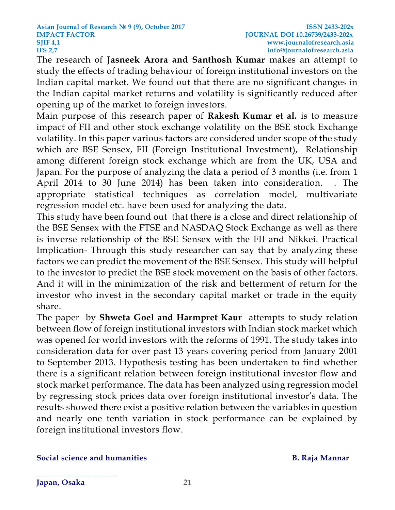The research of **Jasneek Arora and Santhosh Kumar** makes an attempt to study the effects of trading behaviour of foreign institutional investors on the Indian capital market. We found out that there are no significant changes in the Indian capital market returns and volatility is significantly reduced after opening up of the market to foreign investors.

Main purpose of this research paper of **Rakesh Kumar et al.** is to measure impact of FII and other stock exchange volatility on the BSE stock Exchange volatility. In this paper various factors are considered under scope of the study which are BSE Sensex, FII (Foreign Institutional Investment), Relationship among different foreign stock exchange which are from the UK, USA and Japan. For the purpose of analyzing the data a period of 3 months (i.e. from 1 April 2014 to 30 June 2014) has been taken into consideration. . The appropriate statistical techniques as correlation model, multivariate regression model etc. have been used for analyzing the data.

This study have been found out that there is a close and direct relationship of the BSE Sensex with the FTSE and NASDAQ Stock Exchange as well as there is inverse relationship of the BSE Sensex with the FII and Nikkei. Practical Implication- Through this study researcher can say that by analyzing these factors we can predict the movement of the BSE Sensex. This study will helpful to the investor to predict the BSE stock movement on the basis of other factors. And it will in the minimization of the risk and betterment of return for the investor who invest in the secondary capital market or trade in the equity share.

The paper by **Shweta Goel and Harmpret Kaur** attempts to study relation between flow of foreign institutional investors with Indian stock market which was opened for world investors with the reforms of 1991. The study takes into consideration data for over past 13 years covering period from January 2001 to September 2013. Hypothesis testing has been undertaken to find whether there is a significant relation between foreign institutional investor flow and stock market performance. The data has been analyzed using regression model by regressing stock prices data over foreign institutional investor's data. The results showed there exist a positive relation between the variables in question and nearly one tenth variation in stock performance can be explained by foreign institutional investors flow.

### **Social science and humanities B. Raja Mannar**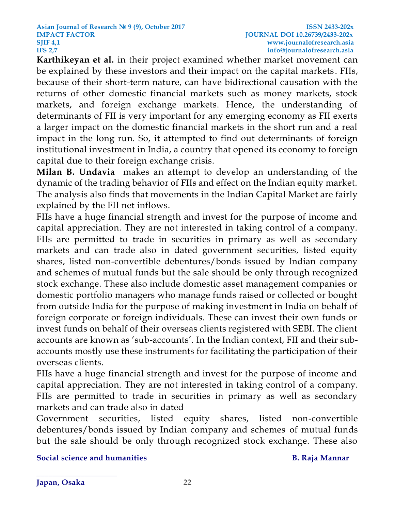**Karthikeyan et al.** in their project examined whether market movement can be explained by these investors and their impact on the capital markets . FIIs, because of their short-term nature, can have bidirectional causation with the returns of other domestic financial markets such as money markets, stock markets, and foreign exchange markets. Hence, the understanding of determinants of FII is very important for any emerging economy as FII exerts a larger impact on the domestic financial markets in the short run and a real impact in the long run. So, it attempted to find out determinants of foreign institutional investment in India, a country that opened its economy to foreign capital due to their foreign exchange crisis.

**Milan B. Undavia** makes an attempt to develop an understanding of the dynamic of the trading behavior of FIIs and effect on the Indian equity market. The analysis also finds that movements in the Indian Capital Market are fairly explained by the FII net inflows.

FIIs have a huge financial strength and invest for the purpose of income and capital appreciation. They are not interested in taking control of a company. FIIs are permitted to trade in securities in primary as well as secondary markets and can trade also in dated government securities, listed equity shares, listed non-convertible debentures/bonds issued by Indian company and schemes of mutual funds but the sale should be only through recognized stock exchange. These also include domestic asset management companies or domestic portfolio managers who manage funds raised or collected or bought from outside India for the purpose of making investment in India on behalf of foreign corporate or foreign individuals. These can invest their own funds or invest funds on behalf of their overseas clients registered with SEBI. The client accounts are known as 'sub-accounts'. In the Indian context, FII and their subaccounts mostly use these instruments for facilitating the participation of their overseas clients.

FIIs have a huge financial strength and invest for the purpose of income and capital appreciation. They are not interested in taking control of a company. FIIs are permitted to trade in securities in primary as well as secondary markets and can trade also in dated

Government securities, listed equity shares, listed non-convertible debentures/bonds issued by Indian company and schemes of mutual funds but the sale should be only through recognized stock exchange. These also

**Social science and humanities B. Raja Mannar**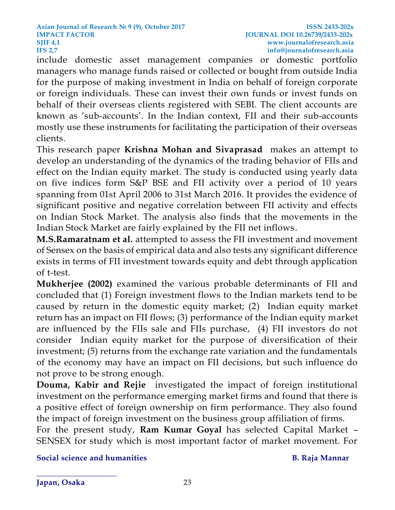include domestic asset management companies or domestic portfolio managers who manage funds raised or collected or bought from outside India for the purpose of making investment in India on behalf of foreign corporate or foreign individuals. These can invest their own funds or invest funds on behalf of their overseas clients registered with SEBI. The client accounts are known as 'sub-accounts'. In the Indian context, FII and their sub-accounts mostly use these instruments for facilitating the participation of their overseas clients.

This research paper **Krishna Mohan and Sivaprasad** makes an attempt to develop an understanding of the dynamics of the trading behavior of FIIs and effect on the Indian equity market. The study is conducted using yearly data on five indices form S&P BSE and FII activity over a period of 10 years spanning from 01st April 2006 to 31st March 2016. It provides the evidence of significant positive and negative correlation between FII activity and effects on Indian Stock Market. The analysis also finds that the movements in the Indian Stock Market are fairly explained by the FII net inflows.

**M.S.Ramaratnam et al.** attempted to assess the FII investment and movement of Sensex on the basis of empirical data and also tests any significant difference exists in terms of FII investment towards equity and debt through application of t-test.

**Mukherjee (2002)** examined the various probable determinants of FII and concluded that (1) Foreign investment flows to the Indian markets tend to be caused by return in the domestic equity market; (2) Indian equity market return has an impact on FII flows; (3) performance of the Indian equity market are influenced by the FIIs sale and FIIs purchase, (4) FII investors do not consider Indian equity market for the purpose of diversification of their investment; (5) returns from the exchange rate variation and the fundamentals of the economy may have an impact on FII decisions, but such influence do not prove to be strong enough.

**Douma, Kabir and Rejie** investigated the impact of foreign institutional investment on the performance emerging market firms and found that there is a positive effect of foreign ownership on firm performance. They also found the impact of foreign investment on the business group affiliation of firms.

For the present study, **Ram Kumar Goyal** has selected Capital Market – SENSEX for study which is most important factor of market movement. For

**Social science and humanities B. Raja Mannar**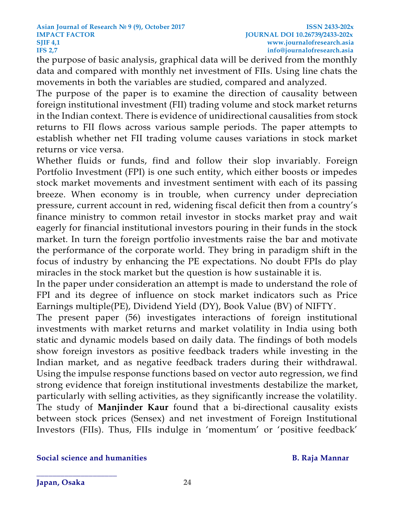the purpose of basic analysis, graphical data will be derived from the monthly data and compared with monthly net investment of FIIs. Using line chats the movements in both the variables are studied, compared and analyzed.

The purpose of the paper is to examine the direction of causality between foreign institutional investment (FII) trading volume and stock market returns in the Indian context. There is evidence of unidirectional causalities from stock returns to FII flows across various sample periods. The paper attempts to establish whether net FII trading volume causes variations in stock market returns or vice versa.

Whether fluids or funds, find and follow their slop invariably. Foreign Portfolio Investment (FPI) is one such entity, which either boosts or impedes stock market movements and investment sentiment with each of its passing breeze. When economy is in trouble, when currency under depreciation pressure, current account in red, widening fiscal deficit then from a country's finance ministry to common retail investor in stocks market pray and wait eagerly for financial institutional investors pouring in their funds in the stock market. In turn the foreign portfolio investments raise the bar and motivate the performance of the corporate world. They bring in paradigm shift in the focus of industry by enhancing the PE expectations. No doubt FPIs do play miracles in the stock market but the question is how sustainable it is.

In the paper under consideration an attempt is made to understand the role of FPI and its degree of influence on stock market indicators such as Price Earnings multiple(PE), Dividend Yield (DY), Book Value (BV) of NIFTY.

The present paper (56) investigates interactions of foreign institutional investments with market returns and market volatility in India using both static and dynamic models based on daily data. The findings of both models show foreign investors as positive feedback traders while investing in the Indian market, and as negative feedback traders during their withdrawal. Using the impulse response functions based on vector auto regression, we find strong evidence that foreign institutional investments destabilize the market, particularly with selling activities, as they significantly increase the volatility. The study of **Manjinder Kaur** found that a bi-directional causality exists between stock prices (Sensex) and net investment of Foreign Institutional Investors (FIIs). Thus, FIIs indulge in 'momentum' or 'positive feedback'

### **Social science and humanities B. Raja Mannar**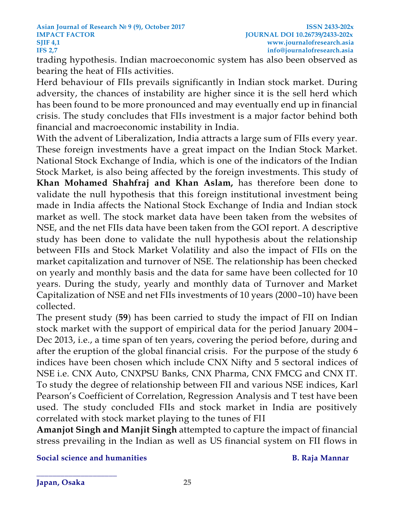trading hypothesis. Indian macroeconomic system has also been observed as bearing the heat of FIIs activities.

Herd behaviour of FIIs prevails significantly in Indian stock market. During adversity, the chances of instability are higher since it is the sell herd which has been found to be more pronounced and may eventually end up in financial crisis. The study concludes that FIIs investment is a major factor behind both financial and macroeconomic instability in India.

With the advent of Liberalization, India attracts a large sum of FIIs every year. These foreign investments have a great impact on the Indian Stock Market. National Stock Exchange of India, which is one of the indicators of the Indian Stock Market, is also being affected by the foreign investments. This study of **Khan Mohamed Shahfraj and Khan Aslam,** has therefore been done to validate the null hypothesis that this foreign institutional investment being made in India affects the National Stock Exchange of India and Indian stock market as well. The stock market data have been taken from the websites of NSE, and the net FIIs data have been taken from the GOI report. A descriptive study has been done to validate the null hypothesis about the relationship between FIIs and Stock Market Volatility and also the impact of FIIs on the market capitalization and turnover of NSE. The relationship has been checked on yearly and monthly basis and the data for same have been collected for 10 years. During the study, yearly and monthly data of Turnover and Market Capitalization of NSE and net FIIs investments of 10 years (2000–10) have been collected.

The present study (**59**) has been carried to study the impact of FII on Indian stock market with the support of empirical data for the period January 2004– Dec 2013, i.e., a time span of ten years, covering the period before, during and after the eruption of the global financial crisis. For the purpose of the study 6 indices have been chosen which include CNX Nifty and 5 sectoral indices of NSE i.e. CNX Auto, CNXPSU Banks, CNX Pharma, CNX FMCG and CNX IT. To study the degree of relationship between FII and various NSE indices, Karl Pearson's Coefficient of Correlation, Regression Analysis and T test have been used. The study concluded FIIs and stock market in India are positively correlated with stock market playing to the tunes of FII

**Amanjot Singh and Manjit Singh** attempted to capture the impact of financial stress prevailing in the Indian as well as US financial system on FII flows in

**Social science and humanities B. Raja Mannar**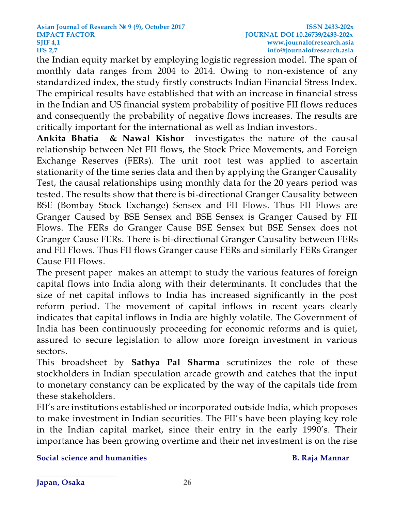the Indian equity market by employing logistic regression model. The span of monthly data ranges from 2004 to 2014. Owing to non-existence of any standardized index, the study firstly constructs Indian Financial Stress Index. The empirical results have established that with an increase in financial stress in the Indian and US financial system probability of positive FII flows reduces and consequently the probability of negative flows increases. The results are critically important for the international as well as Indian investors .

**[Ankita Bhatia](http://www.tandfonline.com/author/Bhatia%2C+Ankita) & [Nawal Kishor](http://www.tandfonline.com/author/Kishor%2C+Nawal)** investigates the nature of the causal relationship between Net FII flows, the Stock Price Movements, and Foreign Exchange Reserves (FERs). The unit root test was applied to ascertain stationarity of the time series data and then by applying the Granger Causality Test, the causal relationships using monthly data for the 20 years period was tested. The results show that there is bi-directional Granger Causality between BSE (Bombay Stock Exchange) Sensex and FII Flows. Thus FII Flows are Granger Caused by BSE Sensex and BSE Sensex is Granger Caused by FII Flows. The FERs do Granger Cause BSE Sensex but BSE Sensex does not Granger Cause FERs. There is bi-directional Granger Causality between FERs and FII Flows. Thus FII flows Granger cause FERs and similarly FERs Granger Cause FII Flows.

The present paper makes an attempt to study the various features of foreign capital flows into India along with their determinants. It concludes that the size of net capital inflows to India has increased significantly in the post reform period. The movement of capital inflows in recent years clearly indicates that capital inflows in India are highly volatile. The Government of India has been continuously proceeding for economic reforms and is quiet, assured to secure legislation to allow more foreign investment in various sectors.

This broadsheet by **Sathya Pal Sharma** scrutinizes the role of these stockholders in Indian speculation arcade growth and catches that the input to monetary constancy can be explicated by the way of the capitals tide from these stakeholders.

FII's are institutions established or incorporated outside India, which proposes to make investment in Indian securities. The FII's have been playing key role in the Indian capital market, since their entry in the early 1990's. Their importance has been growing overtime and their net investment is on the rise

### **Social science and humanities B. Raja Mannar**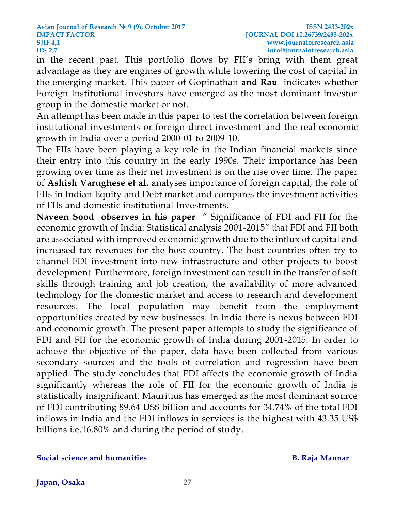in the recent past. This portfolio flows by FII's bring with them great advantage as they are engines of growth while lowering the cost of capital in the emerging market. This paper of Gopinathan **and Rau** indicates whether Foreign Institutional investors have emerged as the most dominant investor group in the domestic market or not.

An attempt has been made in this paper to test the correlation between foreign institutional investments or foreign direct investment and the real economic growth in India over a period 2000-01 to 2009-10.

The FIIs have been playing a key role in the Indian financial markets since their entry into this country in the early 1990s. Their importance has been growing over time as their net investment is on the rise over time. The paper of **Ashish Varughese et al.** analyses importance of foreign capital, the role of FIIs in Indian Equity and Debt market and compares the investment activities of FIIs and domestic institutional Investments.

**Naveen Sood observes in his paper** " Significance of FDI and FII for the economic growth of India: Statistical analysis 2001-2015" that FDI and FII both are associated with improved economic growth due to the influx of capital and increased tax revenues for the host country. The host countries often try to channel FDI investment into new infrastructure and other projects to boost development. Furthermore, foreign investment can result in the transfer of soft skills through training and job creation, the availability of more advanced technology for the domestic market and access to research and development resources. The local population may benefit from the employment opportunities created by new businesses. In India there is nexus between FDI and economic growth. The present paper attempts to study the significance of FDI and FII for the economic growth of India during 2001-2015. In order to achieve the objective of the paper, data have been collected from various secondary sources and the tools of correlation and regression have been applied. The study concludes that FDI affects the economic growth of India significantly whereas the role of FII for the economic growth of India is statistically insignificant. Mauritius has emerged as the most dominant source of FDI contributing 89.64 US\$ billion and accounts for 34.74% of the total FDI inflows in India and the FDI inflows in services is the highest with 43.35 US\$ billions i.e.16.80% and during the period of study.

### **Social science and humanities B. Raja Mannar**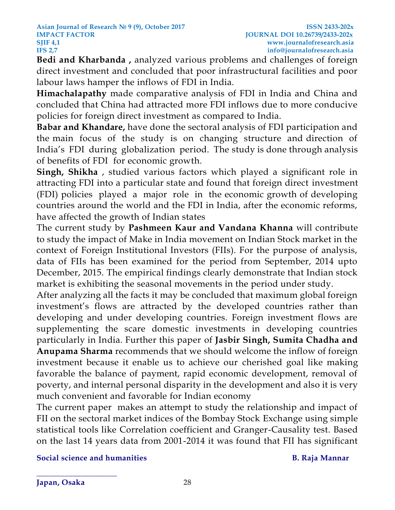**Bedi and Kharbanda ,** analyzed various problems and challenges of foreign direct investment and concluded that poor infrastructural facilities and poor labour laws hamper the inflows of FDI in India.

**Himachalapathy** made comparative analysis of FDI in India and China and concluded that China had attracted more FDI inflows due to more conducive policies for foreign direct investment as compared to India.

**Babar and Khandare,** have done the sectoral analysis of FDI participation and the main focus of the study is on changing structure and direction of India's FDI during globalization period. The study is done through analysis of benefits of FDI for economic growth.

**Singh, Shikha** , studied various factors which played a significant role in attracting FDI into a particular state and found that foreign direct investment (FDI) policies played a major role in the economic growth of developing countries around the world and the FDI in India, after the economic reforms, have affected the growth of Indian states

The current study by **Pashmeen Kaur and Vandana Khanna** will contribute to study the impact of Make in India movement on Indian Stock market in the context of Foreign Institutional Investors (FIIs). For the purpose of analysis, data of FIIs has been examined for the period from September, 2014 upto December, 2015. The empirical findings clearly demonstrate that Indian stock market is exhibiting the seasonal movements in the period under study.

After analyzing all the facts it may be concluded that maximum global foreign investment's flows are attracted by the developed countries rather than developing and under developing countries. Foreign investment flows are supplementing the scare domestic investments in developing countries particularly in India. Further this paper of **Jasbir Singh, Sumita Chadha and Anupama Sharma** recommends that we should welcome the inflow of foreign investment because it enable us to achieve our cherished goal like making favorable the balance of payment, rapid economic development, removal of poverty, and internal personal disparity in the development and also it is very much convenient and favorable for Indian economy

The current paper makes an attempt to study the relationship and impact of FII on the sectoral market indices of the Bombay Stock Exchange using simple statistical tools like Correlation coefficient and Granger-Causality test. Based on the last 14 years data from 2001-2014 it was found that FII has significant

**Social science and humanities B. Raja Mannar**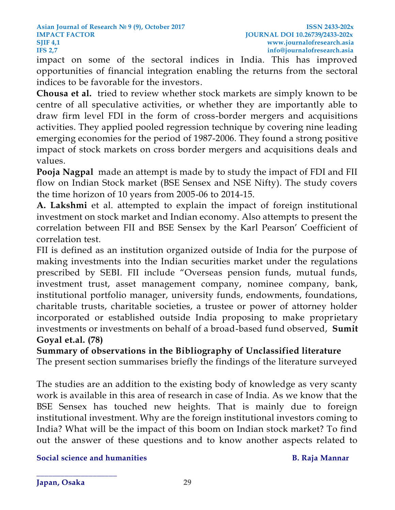impact on some of the sectoral indices in India. This has improved opportunities of financial integration enabling the returns from the sectoral indices to be favorable for the investors.

**Chousa et al.** tried to review whether stock markets are simply known to be centre of all speculative activities, or whether they are importantly able to draw firm level FDI in the form of cross-border mergers and acquisitions activities. They applied pooled regression technique by covering nine leading emerging economies for the period of 1987-2006. They found a strong positive impact of stock markets on cross border mergers and acquisitions deals and values.

**[Pooja Nagpal](http://www.adarshjournals.in/index.php/abr/search/authors/view?firstName=Pooja&middleName=&lastName=Nagpal&affiliation=Department%20of%20MBA,%20PESCE,%20Mandya&country=IN)** made an attempt is made by to study the impact of FDI and FII flow on Indian Stock market (BSE Sensex and NSE Nifty). The study covers the time horizon of 10 years from 2005-06 to 2014-15.

**A. Lakshmi** et al. attempted to explain the impact of foreign institutional investment on stock market and Indian economy. Also attempts to present the correlation between FII and BSE Sensex by the Karl Pearson' Coefficient of correlation test.

FII is defined as an institution organized outside of India for the purpose of making investments into the Indian securities market under the regulations prescribed by SEBI. FII include "Overseas pension funds, mutual funds, investment trust, asset management company, nominee company, bank, institutional portfolio manager, university funds, endowments, foundations, charitable trusts, charitable societies, a trustee or power of attorney holder incorporated or established outside India proposing to make proprietary investments or investments on behalf of a broad-based fund observed, **Sumit Goyal et.al. (78)**

**Summary of observations in the Bibliography of Unclassified literature**

The present section summarises briefly the findings of the literature surveyed

The studies are an addition to the existing body of knowledge as very scanty work is available in this area of research in case of India. As we know that the BSE Sensex has touched new heights. That is mainly due to foreign institutional investment. Why are the foreign institutional investors coming to India? What will be the impact of this boom on Indian stock market? To find out the answer of these questions and to know another aspects related to

**Social science and humanities B. Raja Mannar**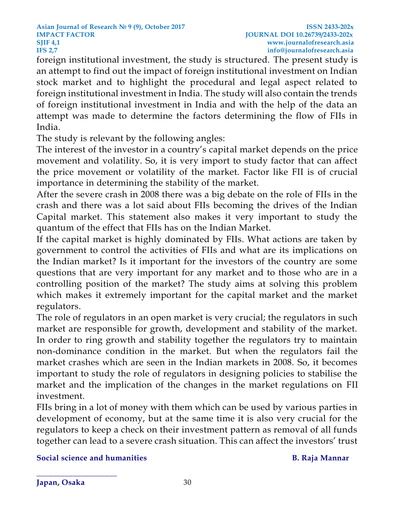foreign institutional investment, the study is structured. The present study is an attempt to find out the impact of foreign institutional investment on Indian stock market and to highlight the procedural and legal aspect related to foreign institutional investment in India. The study will also contain the trends of foreign institutional investment in India and with the help of the data an attempt was made to determine the factors determining the flow of FIIs in India.

The study is relevant by the following angles:

The interest of the investor in a country's capital market depends on the price movement and volatility. So, it is very import to study factor that can affect the price movement or volatility of the market. Factor like FII is of crucial importance in determining the stability of the market.

After the severe crash in 2008 there was a big debate on the role of FIIs in the crash and there was a lot said about FIIs becoming the drives of the Indian Capital market. This statement also makes it very important to study the quantum of the effect that FIIs has on the Indian Market.

If the capital market is highly dominated by FIIs. What actions are taken by government to control the activities of FIIs and what are its implications on the Indian market? Is it important for the investors of the country are some questions that are very important for any market and to those who are in a controlling position of the market? The study aims at solving this problem which makes it extremely important for the capital market and the market regulators.

The role of regulators in an open market is very crucial; the regulators in such market are responsible for growth, development and stability of the market. In order to ring growth and stability together the regulators try to maintain non-dominance condition in the market. But when the regulators fail the market crashes which are seen in the Indian markets in 2008. So, it becomes important to study the role of regulators in designing policies to stabilise the market and the implication of the changes in the market regulations on FII investment.

FIIs bring in a lot of money with them which can be used by various parties in development of economy, but at the same time it is also very crucial for the regulators to keep a check on their investment pattern as removal of all funds together can lead to a severe crash situation. This can affect the investors' trust

**Social science and humanities B. Raja Mannar**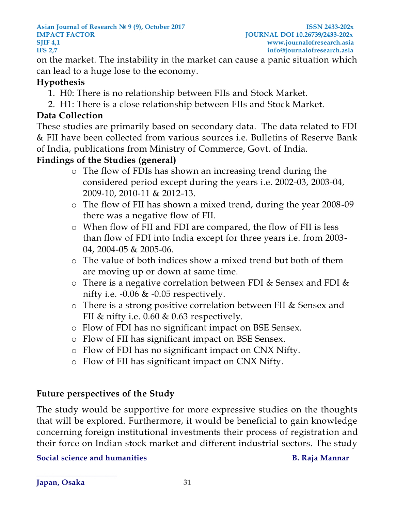### **Asian Journal of Research № 9 (9), October 2017 ISSN 2433-202x IMPACT FACTOR JOURNAL DOI 10.26739/2433-202x SJIF [4,1](http://4,/) www.journalofresearch.asia IFS 2,7 info@journalofresearch.asia**

on the market. The instability in the market can cause a panic situation which can lead to a huge lose to the economy.

# **Hypothesis**

- 1. H0: There is no relationship between FIIs and Stock Market.
- 2. H1: There is a close relationship between FIIs and Stock Market.

# **Data Collection**

These studies are primarily based on secondary data. The data related to FDI & FII have been collected from various sources i.e. Bulletins of Reserve Bank of India, publications from Ministry of Commerce, Govt. of India.

# **Findings of the Studies (general)**

- o The flow of FDIs has shown an increasing trend during the considered period except during the years i.e. 2002-03, 2003-04, 2009-10, 2010-11 & 2012-13.
- o The flow of FII has shown a mixed trend, during the year 2008-09 there was a negative flow of FII.
- o When flow of FII and FDI are compared, the flow of FII is less than flow of FDI into India except for three years i.e. from 2003- 04, 2004-05 & 2005-06.
- o The value of both indices show a mixed trend but both of them are moving up or down at same time.
- o There is a negative correlation between FDI & Sensex and FDI & nifty i.e.  $-0.06 \& -0.05$  respectively.
- o There is a strong positive correlation between FII & Sensex and FII & nifty i.e. 0.60 & 0.63 respectively.
- o Flow of FDI has no significant impact on BSE Sensex.
- o Flow of FII has significant impact on BSE Sensex.
- o Flow of FDI has no significant impact on CNX Nifty.
- o Flow of FII has significant impact on CNX Nifty.

# **Future perspectives of the Study**

The study would be supportive for more expressive studies on the thoughts that will be explored. Furthermore, it would be beneficial to gain knowledge concerning foreign institutional investments their process of registration and their force on Indian stock market and different industrial sectors. The study

**Social science and humanities B. Raja Mannar**

**Japan, Osaka 31**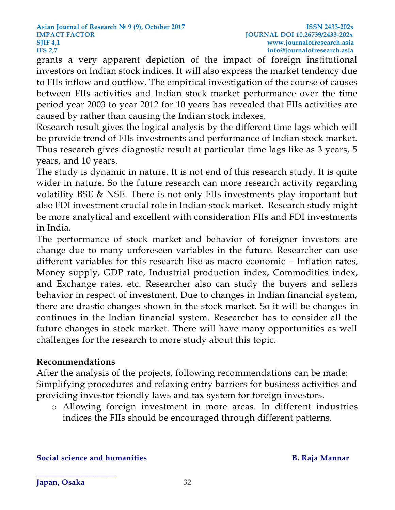grants a very apparent depiction of the impact of foreign institutional investors on Indian stock indices. It will also express the market tendency due to FIIs inflow and outflow. The empirical investigation of the course of causes between FIIs activities and Indian stock market performance over the time period year 2003 to year 2012 for 10 years has revealed that FIIs activities are caused by rather than causing the Indian stock indexes.

Research result gives the logical analysis by the different time lags which will be provide trend of FIIs investments and performance of Indian stock market. Thus research gives diagnostic result at particular time lags like as 3 years, 5 years, and 10 years.

The study is dynamic in nature. It is not end of this research study. It is quite wider in nature. So the future research can more research activity regarding volatility BSE & NSE. There is not only FIIs investments play important but also FDI investment crucial role in Indian stock market. Research study might be more analytical and excellent with consideration FIIs and FDI investments in India.

The performance of stock market and behavior of foreigner investors are change due to many unforeseen variables in the future. Researcher can use different variables for this research like as macro economic – Inflation rates, Money supply, GDP rate, Industrial production index, Commodities index, and Exchange rates, etc. Researcher also can study the buyers and sellers behavior in respect of investment. Due to changes in Indian financial system, there are drastic changes shown in the stock market. So it will be changes in continues in the Indian financial system. Researcher has to consider all the future changes in stock market. There will have many opportunities as well challenges for the research to more study about this topic.

# **Recommendations**

After the analysis of the projects, following recommendations can be made: Simplifying procedures and relaxing entry barriers for business activities and providing investor friendly laws and tax system for foreign investors.

o Allowing foreign investment in more areas. In different industries indices the FIIs should be encouraged through different patterns.

**Social science and humanities B. Raja Mannar**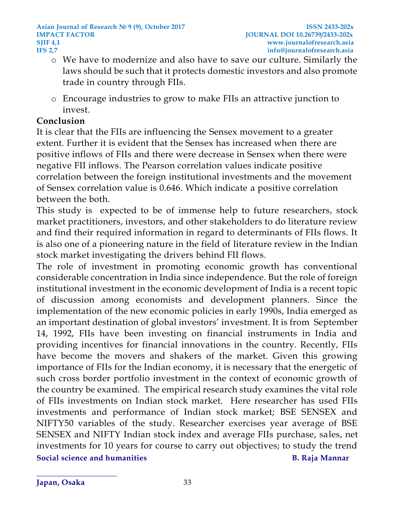- o We have to modernize and also have to save our culture. Similarly the laws should be such that it protects domestic investors and also promote trade in country through FIIs.
- o Encourage industries to grow to make FIIs an attractive junction to invest.

# **Conclusion**

It is clear that the FIIs are influencing the Sensex movement to a greater extent. Further it is evident that the Sensex has increased when there are positive inflows of FIIs and there were decrease in Sensex when there were negative FII inflows. The Pearson correlation values indicate positive correlation between the foreign institutional investments and the movement of Sensex correlation value is 0.646. Which indicate a positive correlation between the both.

This study is expected to be of immense help to future researchers, stock market practitioners, investors, and other stakeholders to do literature review and find their required information in regard to determinants of FIIs flows. It is also one of a pioneering nature in the field of literature review in the Indian stock market investigating the drivers behind FII flows.

**Social science and humanities B. Raja Mannar** The role of investment in promoting economic growth has conventional considerable concentration in India since independence. But the role of foreign institutional investment in the economic development of India is a recent topic of discussion among economists and development planners. Since the implementation of the new economic policies in early 1990s, India emerged as an important destination of global investors' investment. It is from September 14, 1992, FIIs have been investing on financial instruments in India and providing incentives for financial innovations in the country. Recently, FIIs have become the movers and shakers of the market. Given this growing importance of FIIs for the Indian economy, it is necessary that the energetic of such cross border portfolio investment in the context of economic growth of the country be examined. The empirical research study examines the vital role of FIIs investments on Indian stock market. Here researcher has used FIIs investments and performance of Indian stock market; BSE SENSEX and NIFTY50 variables of the study. Researcher exercises year average of BSE SENSEX and NIFTY Indian stock index and average FIIs purchase, sales, net investments for 10 years for course to carry out objectives; to study the trend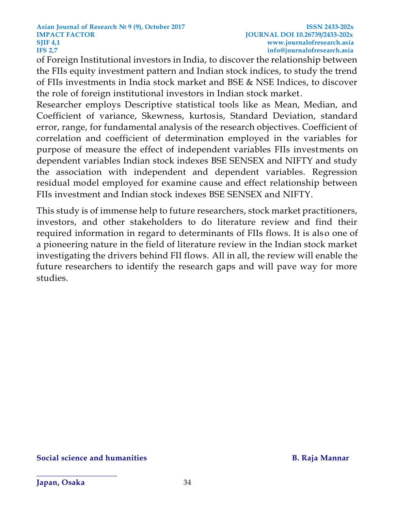of Foreign Institutional investors in India, to discover the relationship between the FIIs equity investment pattern and Indian stock indices, to study the trend of FIIs investments in India stock market and BSE & NSE Indices, to discover the role of foreign institutional investors in Indian stock market.

Researcher employs Descriptive statistical tools like as Mean, Median, and Coefficient of variance, Skewness, kurtosis, Standard Deviation, standard error, range, for fundamental analysis of the research objectives. Coefficient of correlation and coefficient of determination employed in the variables for purpose of measure the effect of independent variables FIIs investments on dependent variables Indian stock indexes BSE SENSEX and NIFTY and study the association with independent and dependent variables. Regression residual model employed for examine cause and effect relationship between FIIs investment and Indian stock indexes BSE SENSEX and NIFTY.

This study is of immense help to future researchers, stock market practitioners, investors, and other stakeholders to do literature review and find their required information in regard to determinants of FIIs flows. It is also one of a pioneering nature in the field of literature review in the Indian stock market investigating the drivers behind FII flows. All in all, the review will enable the future researchers to identify the research gaps and will pave way for more studies.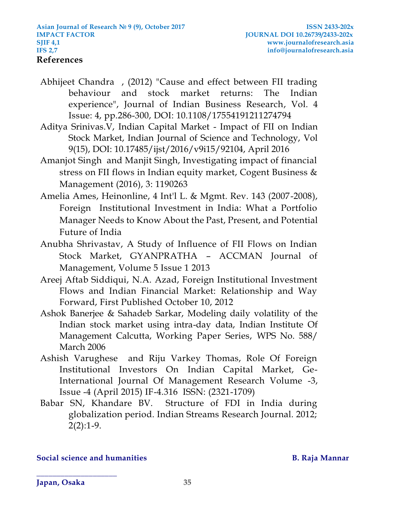- Abhijeet Chandra , (2012) "Cause and effect between FII trading behaviour and stock market returns: The Indian experience", Journal of Indian Business Research, Vol. 4 Issue: 4, pp.286-300, DOI: 10.1108/17554191211274794
- Aditya Srinivas.V, Indian Capital Market Impact of FII on Indian Stock Market, Indian Journal of Science and Technology, Vol 9(15), DOI: 10.17485/ijst/2016/v9i15/92104, April 2016
- Amanjot Singh and Manjit Singh, Investigating impact of financial stress on FII flows in Indian equity market, Cogent Business & Management (2016), 3: 1190263
- Amelia Ames, Heinonline, 4 Int'l L. & Mgmt. Rev. 143 (2007-2008), Foreign Institutional Investment in India: What a Portfolio Manager Needs to Know About the Past, Present, and Potential Future of India
- Anubha Shrivastav, A Study of Influence of FII Flows on Indian Stock Market, GYANPRATHA – ACCMAN Journal of Management, Volume 5 Issue 1 2013
- [Areej Aftab Siddiqui,](http://journals.sagepub.com/author/Siddiqui%2C+Areej+Aftab) [N.A. Azad,](http://journals.sagepub.com/author/Azad%2C+NA) Foreign Institutional Investment Flows and Indian Financial Market: Relationship and Way Forward, First Published October 10, 2012
- Ashok Banerjee & Sahadeb Sarkar, Modeling daily volatility of the Indian stock market using intra-day data, Indian Institute Of Management Calcutta, Working Paper Series, WPS No. 588/ March 2006
- Ashish Varughese and Riju Varkey Thomas, Role Of Foreign Institutional Investors On Indian Capital Market, Ge-International Journal Of Management Research Volume -3, Issue -4 (April 2015) IF-4.316 ISSN: (2321-1709)
- Babar SN, Khandare BV. Structure of FDI in India during globalization period. Indian Streams Research Journal. 2012;  $2(2):1-9.$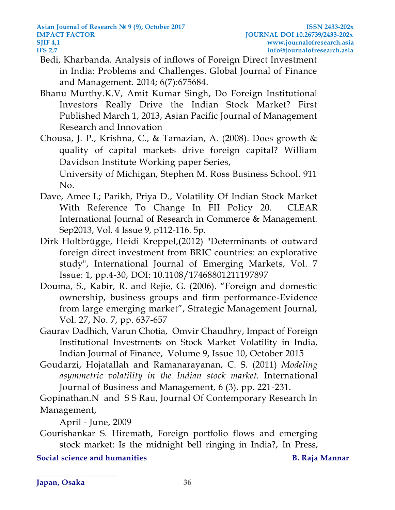- Bedi, Kharbanda. Analysis of inflows of Foreign Direct Investment in India: Problems and Challenges. Global Journal of Finance and Management. 2014; 6(7):675684.
- [Bhanu Murthy.](http://journals.sagepub.com/author/Murthy%2C+KV+Bhanu)K.V, [Amit Kumar Singh,](http://journals.sagepub.com/author/Singh%2C+Amit+Kumar) Do Foreign Institutional Investors Really Drive the Indian Stock Market? First Published March 1, 2013, Asian Pacific Journal of Management Research and Innovation

Chousa, J. P., Krishna, C., & Tamazian, A. (2008). Does growth & quality of capital markets drive foreign capital? William Davidson Institute Working paper Series,

University of Michigan, Stephen M. Ross Business School. 911 No.

- Dave, Amee I.; Parikh, Priya D., Volatility Of Indian Stock Market With Reference To Change In FII Policy 20. CLEAR International Journal of Research in Commerce & Management. Sep2013, Vol. 4 Issue 9, p112-116. 5p.
- Dirk Holtbrügge, Heidi Kreppel,(2012) "Determinants of outward foreign direct investment from BRIC countries: an explorative study", International Journal of Emerging Markets, Vol. 7 Issue: 1, pp.4-30, DOI: 10.1108/17468801211197897
- Douma, S., Kabir, R. and Rejie, G. (2006). "Foreign and domestic ownership, business groups and firm performance-Evidence from large emerging market", Strategic Management Journal, Vol. 27, No. 7, pp. 637-657
- [Gaurav Dadhich,](http://www.indianjournaloffinance.co.in/index.php/IJF/search/authors/view?firstName=Gaurav&middleName=&lastName=Dadhich&affiliation=Undergraduate%20Student,%20Department%20of%20Economics%20and%20Finance,%206165,%20New%20Academic%20Block,%20Birla%20Institute%20of%20Technology%20and%20Science,%20Pilani,%20Rajasthan&country=IN) [Varun Chotia,](http://www.indianjournaloffinance.co.in/index.php/IJF/search/authors/view?firstName=Varun&middleName=&lastName=Chotia&affiliation=Research%20Scholar,%20Department%20of%20Economics%20and%20Finance,%206165,%20New%20Academic%20Block,%20Birla%20Institute%20of%20Technology%20and%20Science,%20Pilani,%20Rajasthan&country=IN) [Omvir Chaudhry,](http://www.indianjournaloffinance.co.in/index.php/IJF/search/authors/view?firstName=Omvir&middleName=&lastName=Chaudhry&affiliation=Assistant%20Professor,%20Department%20of%20Economics%20and%20Finance,%206165-%20O,%20New%20Academic%20Block,%20Birla%20Institute%20of%20Technology%20and%20Science%20Pilani,%20Rajasthan&country=IN) Impact of Foreign Institutional Investments on Stock Market Volatility in India, Indian Journal of Finance, [Volume 9, Issue 10, October 2015](http://www.indianjournaloffinance.co.in/index.php/IJF/issue/view/6212)
- Goudarzi, Hojatallah and Ramanarayanan, C. S. (2011) *Modeling asymmetric volatility in the Indian stock market.* International Journal of Business and Management, 6 (3). pp. 221-231.

Gopinathan.N and S S Rau, Journal Of Contemporary Research In Management,

April - June, 2009

[Gourishankar S. Hiremath,](http://www.sciencedirect.com/science/article/pii/S0275531916301064) Foreign portfolio flows and emerging stock market: Is the midnight bell ringing in India?, [In Press,](http://www.sciencedirect.com/science/journal/aip/02755319) 

**Social science and humanities B. Raja Mannar**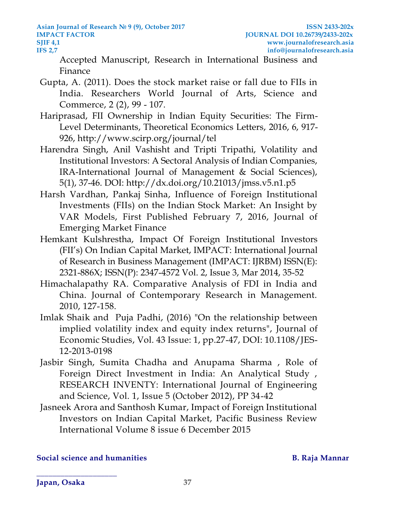**Asian Journal of Research № 9 (9), October 2017 ISSN 2433-202x IMPACT FACTOR JOURNAL DOI 10.26739/2433-202x SJIF [4,1](http://4,/) www.journalofresearch.asia IFS 2,7 info@journalofresearch.asia**

[Accepted Manuscript,](http://www.sciencedirect.com/science/journal/aip/02755319) [Research in International Business and](http://www.sciencedirect.com/science/journal/02755319)  [Finance](http://www.sciencedirect.com/science/journal/02755319)

- Gupta, A. (2011). Does the stock market raise or fall due to FIIs in India. Researchers World Journal of Arts, Science and Commerce, 2 (2), 99 - 107.
- Hariprasad, FII Ownership in Indian Equity Securities: The Firm-Level Determinants, Theoretical Economics Letters, 2016, 6, 917- 926, http://www.scirp.org/journal/tel
- Harendra Singh, Anil Vashisht and Tripti Tripathi, Volatility and Institutional Investors: A Sectoral Analysis of Indian Companies, IRA-International Journal of Management & Social Sciences), 5(1), 37-46. DOI: http://dx.doi.org/10.21013/jmss.v5.n1.p5
- [Harsh Vardhan,](http://journals.sagepub.com/author/Vardhan%2C+Harsh) [Pankaj Sinha,](http://journals.sagepub.com/author/Sinha%2C+Pankaj) Influence of Foreign Institutional Investments (FIIs) on the Indian Stock Market: An Insight by VAR Models, First Published February 7, 2016, Journal of Emerging Market Finance
- Hemkant Kulshrestha, Impact Of Foreign Institutional Investors (FII's) On Indian Capital Market, IMPACT: International Journal of Research in Business Management (IMPACT: IJRBM) ISSN(E): 2321-886X; ISSN(P): 2347-4572 Vol. 2, Issue 3, Mar 2014, 35-52
- Himachalapathy RA. Comparative Analysis of FDI in India and China. Journal of Contemporary Research in Management. 2010, 127-158.
- Imlak Shaik and [Puja Padhi,](http://www.emeraldinsight.com/author/Padhi%2C+Puja) (2016) "On the relationship between implied volatility index and equity index returns", Journal of Economic Studies, Vol. 43 Issue: 1, pp.27-47, DOI: 10.1108/JES-12-2013-0198
- Jasbir Singh, Sumita Chadha and Anupama Sharma , Role of Foreign Direct Investment in India: An Analytical Study , RESEARCH INVENTY: International Journal of Engineering and Science, Vol. 1, Issue 5 (October 2012), PP 34-42
- Jasneek Arora and Santhosh Kumar, Impact of Foreign Institutional Investors on Indian Capital Market, Pacific Business Review International Volume 8 issue 6 December 2015

### **Social science and humanities B. Raja Mannar**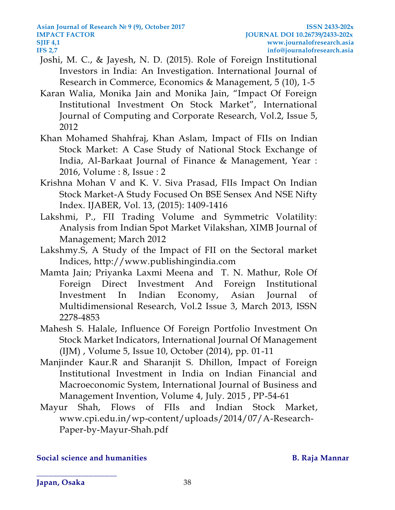- Joshi, M. C., & Jayesh, N. D. (2015). Role of Foreign Institutional Investors in India: An Investigation. International Journal of Research in Commerce, Economics & Management, 5 (10), 1-5
- Karan Walia, Monika Jain and Monika Jain, "Impact Of Foreign Institutional Investment On Stock Market", International Journal of Computing and Corporate Research, Vol.2, Issue 5, 2012
- Khan Mohamed Shahfraj, Khan Aslam, Impact of FIIs on Indian Stock Market: A Case Study of National Stock Exchange of India, Al-Barkaat Journal of Finance & Management, Year : 2016, Volume : 8, Issue : 2
- Krishna Mohan V and K. V. Siva Prasad, FIIs Impact On Indian Stock Market-A Study Focused On BSE Sensex And NSE Nifty Index. IJABER, Vol. 13, (2015): 1409-1416
- Lakshmi, P., FII Trading Volume and Symmetric Volatility: Analysis from Indian Spot Market Vilakshan, XIMB Journal of Management; March 2012
- Lakshmy.S, A Study of the Impact of FII on the Sectoral market Indices, http://www.publishingindia.com
- Mamta Jain; Priyanka Laxmi Meena and T. N. Mathur, Role Of Foreign Direct Investment And Foreign Institutional Investment In Indian Economy, Asian Journal of Multidimensional Research, Vol.2 Issue 3, March 2013, ISSN 2278-4853
- Mahesh S. Halale, Influence Of Foreign Portfolio Investment On Stock Market Indicators, International Journal Of Management (IJM) , Volume 5, Issue 10, October (2014), pp. 01-11
- Manjinder Kaur.R and Sharanjit S. Dhillon, Impact of Foreign Institutional Investment in India on Indian Financial and Macroeconomic System, International Journal of Business and Management Invention, Volume 4, July. 2015 , PP-54-61
- Mayur Shah, [Flows of FIIs and Indian Stock Market,](http://www.cpi.edu.in/wp-content/uploads/2014/07/A-Research-Paper-by-Mayur-Shah.pdf) www.cpi.edu.in/wp-content/uploads/2014/07/A-Research-Paper-by-Mayur-Shah.pdf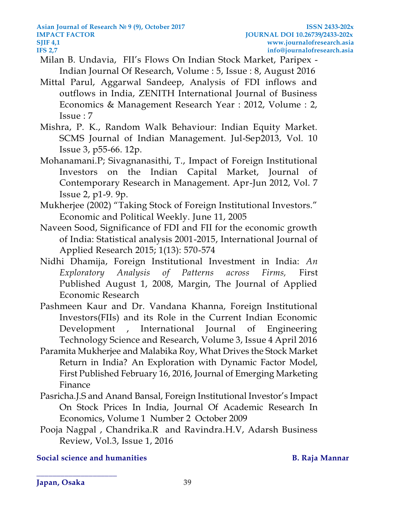- Milan B. Undavia, FII's Flows On Indian Stock Market, Paripex Indian Journal Of Research, Volume : 5, Issue : 8, August 2016
- Mittal Parul, Aggarwal Sandeep, Analysis of FDI inflows and outflows in India, ZENITH International Journal of Business Economics & Management Research Year : 2012, Volume : 2, Issue : 7
- Mishra, P. K., Random Walk Behaviour: Indian Equity Market. SCMS Journal of Indian Management. Jul-Sep2013, Vol. 10 Issue 3, p55-66. 12p.
- Mohanamani.P; Sivagnanasithi, T., Impact of Foreign Institutional Investors on the Indian Capital Market, Journal of Contemporary Research in Management. Apr-Jun 2012, Vol. 7 Issue 2, p1-9. 9p.
- Mukherjee (2002) "Taking Stock of Foreign Institutional Investors." Economic and Political Weekly. June 11, 2005
- Naveen Sood, Significance of FDI and FII for the economic growth of India: Statistical analysis 2001-2015, International Journal of Applied Research 2015; 1(13): 570-574
- [Nidhi Dhamija,](http://journals.sagepub.com/author/Dhamija%2C+Nidhi) Foreign Institutional Investment in India: *An Exploratory Analysis of Patterns across Firms,* First Published August 1, 2008, Margin, The Journal of Applied Economic Research
- Pashmeen Kaur and Dr. Vandana Khanna, Foreign Institutional Investors(FIIs) and its Role in the Current Indian Economic Development , International Journal of Engineering Technology Science and Research, Volume 3, Issue 4 April 2016
- [Paramita Mukherjee](http://journals.sagepub.com/author/Mukherjee%2C+Paramita) and [Malabika Roy,](http://journals.sagepub.com/author/Roy%2C+Malabika) What Drives the Stock Market Return in India? An Exploration with Dynamic Factor Model, First Published February 16, 2016, Journal of Emerging Marketing Finance
- Pasricha.J.S and Anand Bansal, Foreign Institutional Investor's Impact On Stock Prices In India, Journal Of Academic Research In Economics, Volume 1 Number 2 October 2009
- [Pooja Nagpal](http://www.adarshjournals.in/index.php/abr/search/authors/view?firstName=Pooja&middleName=&lastName=Nagpal&affiliation=Department%20of%20MBA,%20PESCE,%20Mandya&country=IN) , [Chandrika.R](http://www.adarshjournals.in/index.php/abr/search/authors/view?firstName=R.&middleName=&lastName=Chandrika&affiliation=Department%20of%20MBA,%20PESCE,%20Mandya&country=IN) and [Ravindra.](http://www.adarshjournals.in/index.php/abr/search/authors/view?firstName=H.%20V.&middleName=&lastName=Ravindra&affiliation=Dean%20Academics,%20PESCE,%20Mandya&country=IN)H.V, Adarsh Business Review, Vol.3, Issue 1, 2016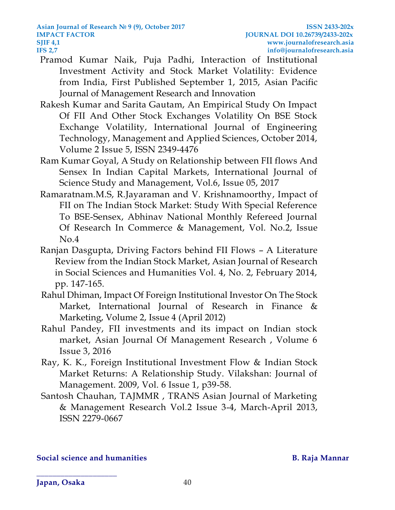- [Pramod Kumar Naik,](http://journals.sagepub.com/author/Naik%2C+Pramod+Kumar) [Puja Padhi,](http://journals.sagepub.com/author/Padhi%2C+Puja) Interaction of Institutional Investment Activity and Stock Market Volatility: Evidence from India, First Published September 1, 2015, Asian Pacific Journal of Management Research and Innovation
- Rakesh Kumar and Sarita Gautam, An Empirical Study On Impact Of FII And Other Stock Exchanges Volatility On BSE Stock Exchange Volatility, International Journal of Engineering Technology, Management and Applied Sciences, October 2014, Volume 2 Issue 5, ISSN 2349-4476
- Ram Kumar Goyal, A Study on Relationship between FII flows And Sensex In Indian Capital Markets, International Journal of Science Study and Management, Vol.6, Issue 05, 2017
- Ramaratnam.M.S, R.Jayaraman and V. Krishnamoorthy, Impact of FII on The Indian Stock Market: Study With Special Reference To BSE-Sensex, Abhinav National Monthly Refereed Journal Of Research In Commerce & Management, Vol. No.2, Issue No.4
- Ranjan Dasgupta, Driving Factors behind FII Flows A Literature Review from the Indian Stock Market, Asian Journal of Research in Social Sciences and Humanities Vol. 4, No. 2, February 2014, pp. 147-165.
- Rahul Dhiman, Impact Of Foreign Institutional Investor On The Stock Market, International Journal of Research in Finance & Marketing, Volume 2, Issue 4 (April 2012)
- Rahul Pandey, FII investments and its impact on Indian stock market, Asian Journal Of Management Research , Volume 6 Issue 3, 2016
- Ray, K. K., Foreign Institutional Investment Flow & Indian Stock Market Returns: A Relationship Study. Vilakshan: Journal of Management. 2009, Vol. 6 Issue 1, p39-58.
- Santosh Chauhan, TAJMMR , TRANS Asian Journal of Marketing & Management Research Vol.2 Issue 3-4, March-April 2013, ISSN 2279-0667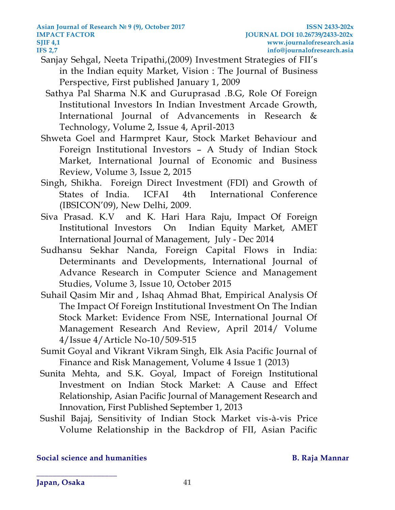- [Sanjay Sehgal,](http://journals.sagepub.com/author/Sehgal%2C+Sanjay) [Neeta Tripathi,](http://journals.sagepub.com/author/Tripathi%2C+Neeta)(2009) Investment Strategies of FII's in the Indian equity Market, Vision : The Journal of Business Perspective, First published January 1, 2009
	- Sathya Pal Sharma N.K and Guruprasad .B.G, Role Of Foreign Institutional Investors In Indian Investment Arcade Growth, International Journal of Advancements in Research & Technology, Volume 2, Issue 4, April-2013
- Shweta Goel and Harmpret Kaur, Stock Market Behaviour and Foreign Institutional Investors – A Study of Indian Stock Market, International Journal of Economic and Business Review, Volume 3, Issue 2, 2015
- Singh, Shikha. Foreign Direct Investment (FDI) and Growth of States of India. ICFAI 4th International Conference (IBSICON'09), New Delhi, 2009.
- Siva Prasad. K.V and K. Hari Hara Raju, Impact Of Foreign Institutional Investors On Indian Equity Market, AMET International Journal of Management, July - Dec 2014
- Sudhansu Sekhar Nanda, Foreign Capital Flows in India: Determinants and Developments, International Journal of Advance Research in Computer Science and Management Studies, Volume 3, Issue 10, October 2015
- Suhail Qasim Mir and , Ishaq Ahmad Bhat, Empirical Analysis Of The Impact Of Foreign Institutional Investment On The Indian Stock Market: Evidence From NSE, International Journal Of Management Research And Review, April 2014/ Volume 4/Issue 4/Article No-10/509-515
- Sumit Goyal and Vikrant Vikram Singh, Elk Asia Pacific Journal of Finance and Risk Management, Volume 4 Issue 1 (2013)
- [Sunita Mehta,](http://journals.sagepub.com/author/Mehla%2C+Sunita) and [S.K. Goyal,](http://journals.sagepub.com/author/Goyal%2C+SK) Impact of Foreign Institutional Investment on Indian Stock Market: A Cause and Effect Relationship, Asian Pacific Journal of Management Research and Innovation, First Published September 1, 2013
- Sushil Bajaj, Sensitivity of Indian Stock Market vis-à-vis Price Volume Relationship in the Backdrop of FII, Asian Pacific

**Japan, Osaka 41**